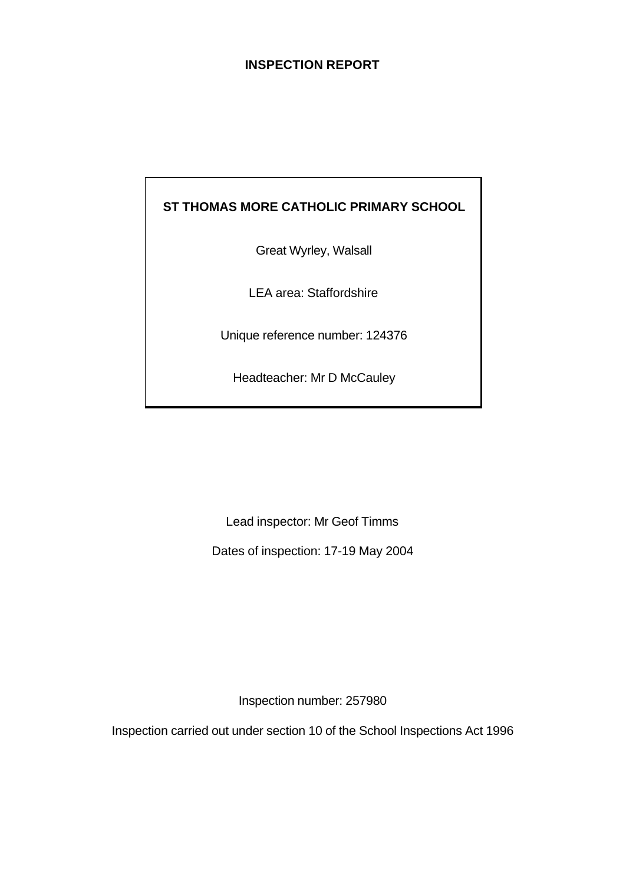# **INSPECTION REPORT**

# **ST THOMAS MORE CATHOLIC PRIMARY SCHOOL**

Great Wyrley, Walsall

LEA area: Staffordshire

Unique reference number: 124376

Headteacher: Mr D McCauley

Lead inspector: Mr Geof Timms

Dates of inspection: 17-19 May 2004

Inspection number: 257980

Inspection carried out under section 10 of the School Inspections Act 1996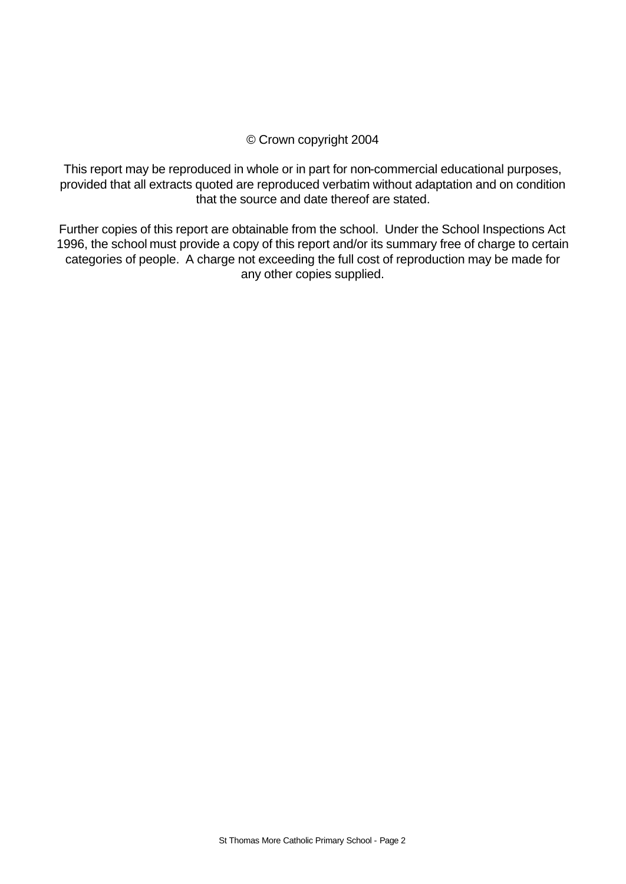#### © Crown copyright 2004

This report may be reproduced in whole or in part for non-commercial educational purposes, provided that all extracts quoted are reproduced verbatim without adaptation and on condition that the source and date thereof are stated.

Further copies of this report are obtainable from the school. Under the School Inspections Act 1996, the school must provide a copy of this report and/or its summary free of charge to certain categories of people. A charge not exceeding the full cost of reproduction may be made for any other copies supplied.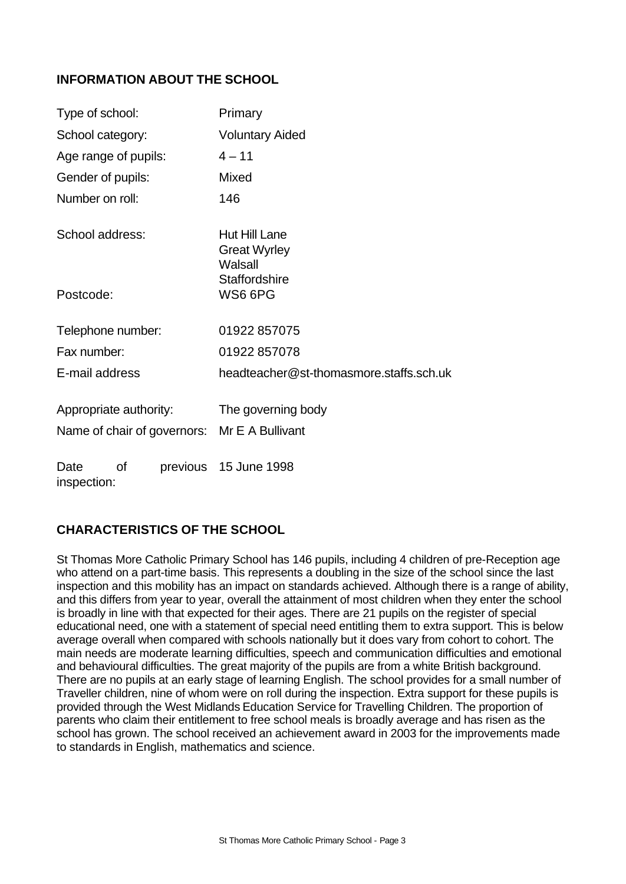# **INFORMATION ABOUT THE SCHOOL**

| Type of school:                       | Primary                                                |  |  |
|---------------------------------------|--------------------------------------------------------|--|--|
| School category:                      | <b>Voluntary Aided</b>                                 |  |  |
| Age range of pupils:                  | $4 - 11$                                               |  |  |
| Gender of pupils:                     | Mixed                                                  |  |  |
| Number on roll:                       | 146                                                    |  |  |
| School address:                       | <b>Hut Hill Lane</b><br><b>Great Wyrley</b><br>Walsall |  |  |
| Postcode:                             | <b>Staffordshire</b><br>WS6 6PG                        |  |  |
| Telephone number:                     | 01922 857075                                           |  |  |
| Fax number:                           | 01922 857078                                           |  |  |
| E-mail address                        | headteacher@st-thomasmore.staffs.sch.uk                |  |  |
| Appropriate authority:                | The governing body                                     |  |  |
| Name of chair of governors:           | Mr E A Bullivant                                       |  |  |
| οf<br>Date<br>previous<br>inspection: | 15 June 1998                                           |  |  |

# **CHARACTERISTICS OF THE SCHOOL**

St Thomas More Catholic Primary School has 146 pupils, including 4 children of pre-Reception age who attend on a part-time basis. This represents a doubling in the size of the school since the last inspection and this mobility has an impact on standards achieved. Although there is a range of ability, and this differs from year to year, overall the attainment of most children when they enter the school is broadly in line with that expected for their ages. There are 21 pupils on the register of special educational need, one with a statement of special need entitling them to extra support. This is below average overall when compared with schools nationally but it does vary from cohort to cohort. The main needs are moderate learning difficulties, speech and communication difficulties and emotional and behavioural difficulties. The great majority of the pupils are from a white British background. There are no pupils at an early stage of learning English. The school provides for a small number of Traveller children, nine of whom were on roll during the inspection. Extra support for these pupils is provided through the West Midlands Education Service for Travelling Children. The proportion of parents who claim their entitlement to free school meals is broadly average and has risen as the school has grown. The school received an achievement award in 2003 for the improvements made to standards in English, mathematics and science.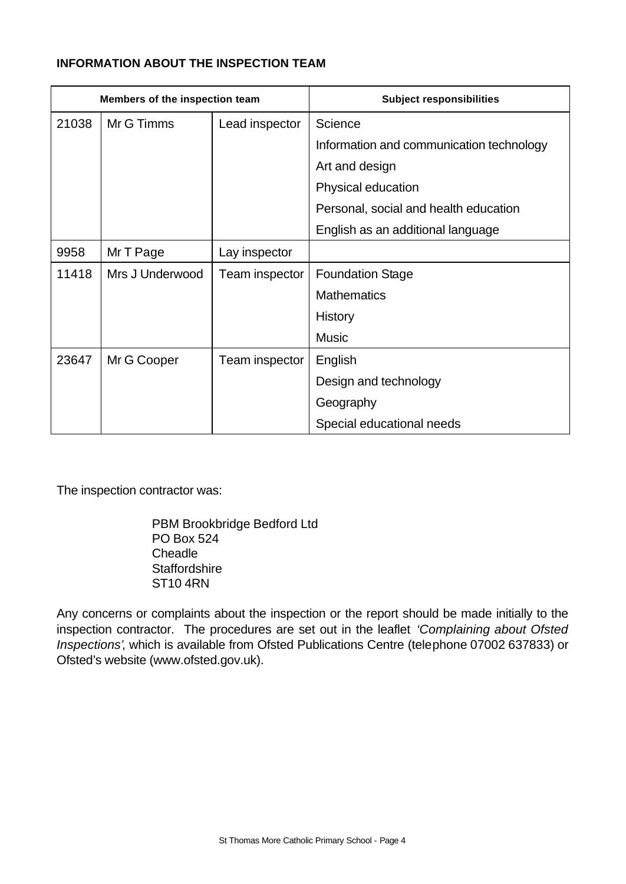# **INFORMATION ABOUT THE INSPECTION TEAM**

| Members of the inspection team |                 |                | <b>Subject responsibilities</b>          |  |
|--------------------------------|-----------------|----------------|------------------------------------------|--|
| 21038                          | Mr G Timms      | Lead inspector | Science                                  |  |
|                                |                 |                | Information and communication technology |  |
|                                |                 |                | Art and design                           |  |
|                                |                 |                | Physical education                       |  |
|                                |                 |                | Personal, social and health education    |  |
|                                |                 |                | English as an additional language        |  |
| 9958                           | Mr T Page       | Lay inspector  |                                          |  |
| 11418                          | Mrs J Underwood | Team inspector | <b>Foundation Stage</b>                  |  |
|                                |                 |                | <b>Mathematics</b>                       |  |
|                                |                 |                | <b>History</b>                           |  |
|                                |                 |                | <b>Music</b>                             |  |
| 23647                          | Mr G Cooper     | Team inspector | English                                  |  |
|                                |                 |                | Design and technology                    |  |
|                                |                 |                | Geography                                |  |
|                                |                 |                | Special educational needs                |  |

The inspection contractor was:

PBM Brookbridge Bedford Ltd PO Box 524 **Cheadle Staffordshire** ST10 4RN

Any concerns or complaints about the inspection or the report should be made initially to the inspection contractor. The procedures are set out in the leaflet *'Complaining about Ofsted Inspections'*, which is available from Ofsted Publications Centre (telephone 07002 637833) or Ofsted's website (www.ofsted.gov.uk).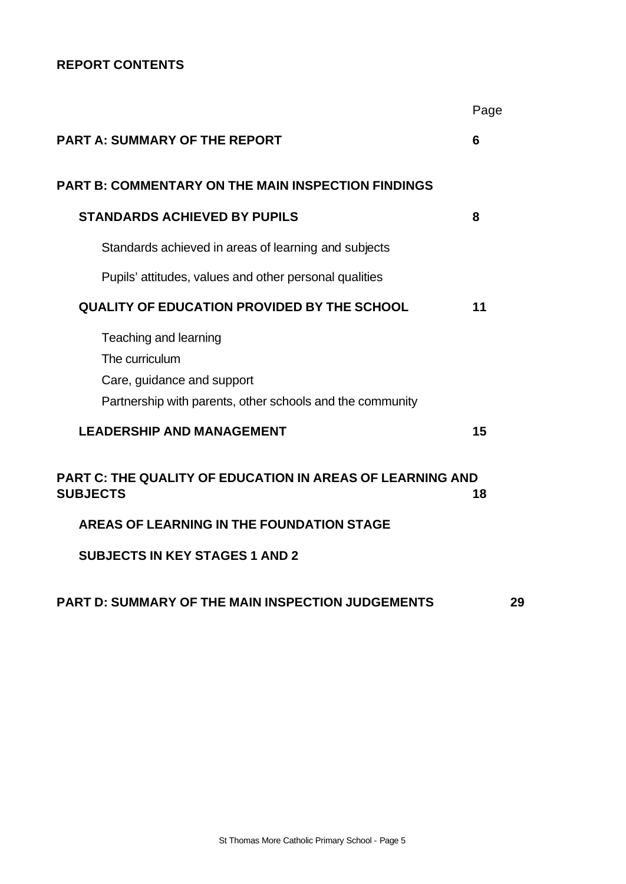# **REPORT CONTENTS**

|                                                                                                                                    | Page |
|------------------------------------------------------------------------------------------------------------------------------------|------|
| <b>PART A: SUMMARY OF THE REPORT</b>                                                                                               | 6    |
| PART B: COMMENTARY ON THE MAIN INSPECTION FINDINGS                                                                                 |      |
| <b>STANDARDS ACHIEVED BY PUPILS</b>                                                                                                | 8    |
| Standards achieved in areas of learning and subjects                                                                               |      |
| Pupils' attitudes, values and other personal qualities                                                                             |      |
| <b>QUALITY OF EDUCATION PROVIDED BY THE SCHOOL</b>                                                                                 | 11   |
| Teaching and learning<br>The curriculum<br>Care, guidance and support<br>Partnership with parents, other schools and the community |      |
| <b>LEADERSHIP AND MANAGEMENT</b>                                                                                                   | 15   |
| PART C: THE QUALITY OF EDUCATION IN AREAS OF LEARNING AND<br><b>SUBJECTS</b>                                                       | 18   |
| AREAS OF LEARNING IN THE FOUNDATION STAGE                                                                                          |      |
| <b>SUBJECTS IN KEY STAGES 1 AND 2</b>                                                                                              |      |
| PART D: SUMMARY OF THE MAIN INSPECTION JUDGEMENTS                                                                                  | 29   |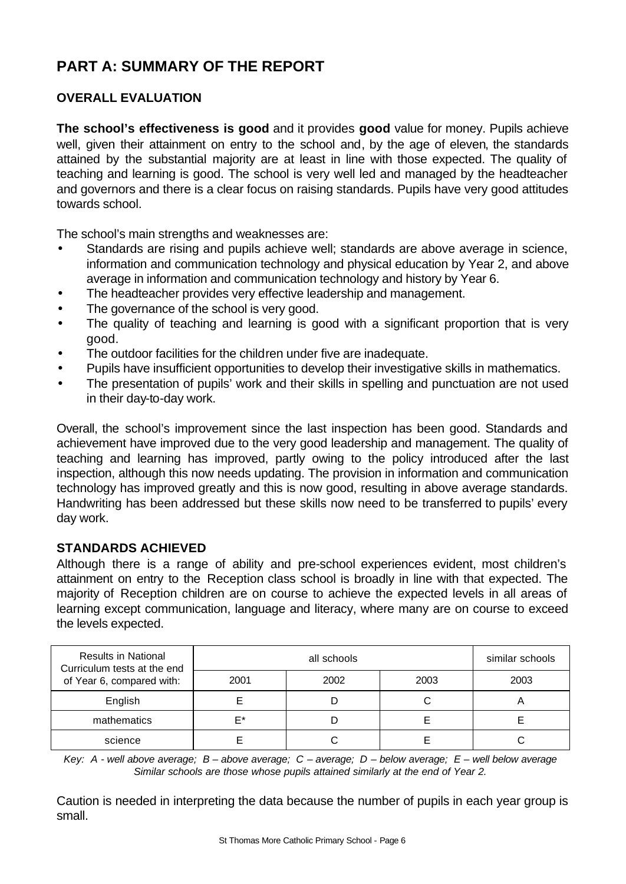# **PART A: SUMMARY OF THE REPORT**

# **OVERALL EVALUATION**

**The school's effectiveness is good** and it provides **good** value for money. Pupils achieve well, given their attainment on entry to the school and, by the age of eleven, the standards attained by the substantial majority are at least in line with those expected. The quality of teaching and learning is good. The school is very well led and managed by the headteacher and governors and there is a clear focus on raising standards. Pupils have very good attitudes towards school.

The school's main strengths and weaknesses are:

- Standards are rising and pupils achieve well; standards are above average in science, information and communication technology and physical education by Year 2, and above average in information and communication technology and history by Year 6.
- The headteacher provides very effective leadership and management.
- The governance of the school is very good.
- The quality of teaching and learning is good with a significant proportion that is very good.
- The outdoor facilities for the children under five are inadequate.
- Pupils have insufficient opportunities to develop their investigative skills in mathematics.
- The presentation of pupils' work and their skills in spelling and punctuation are not used in their day-to-day work.

Overall, the school's improvement since the last inspection has been good. Standards and achievement have improved due to the very good leadership and management. The quality of teaching and learning has improved, partly owing to the policy introduced after the last inspection, although this now needs updating. The provision in information and communication technology has improved greatly and this is now good, resulting in above average standards. Handwriting has been addressed but these skills now need to be transferred to pupils' every day work.

# **STANDARDS ACHIEVED**

Although there is a range of ability and pre-school experiences evident, most children's attainment on entry to the Reception class school is broadly in line with that expected. The majority of Reception children are on course to achieve the expected levels in all areas of learning except communication, language and literacy, where many are on course to exceed the levels expected.

| <b>Results in National</b><br>Curriculum tests at the end |      | similar schools |      |      |
|-----------------------------------------------------------|------|-----------------|------|------|
| of Year 6, compared with:                                 | 2001 | 2002            | 2003 | 2003 |
| English                                                   |      |                 |      |      |
| mathematics                                               | F*   |                 |      |      |
| science                                                   |      |                 |      |      |

*Key: A - well above average; B – above average; C – average; D – below average; E – well below average Similar schools are those whose pupils attained similarly at the end of Year 2.*

Caution is needed in interpreting the data because the number of pupils in each year group is small.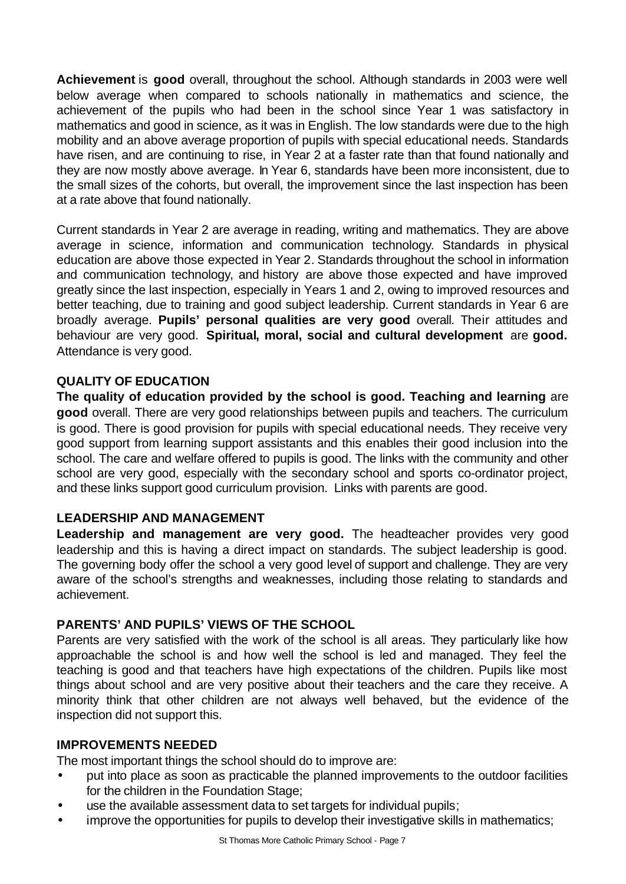**Achievement** is **good** overall, throughout the school. Although standards in 2003 were well below average when compared to schools nationally in mathematics and science, the achievement of the pupils who had been in the school since Year 1 was satisfactory in mathematics and good in science, as it was in English. The low standards were due to the high mobility and an above average proportion of pupils with special educational needs. Standards have risen, and are continuing to rise, in Year 2 at a faster rate than that found nationally and they are now mostly above average. In Year 6, standards have been more inconsistent, due to the small sizes of the cohorts, but overall, the improvement since the last inspection has been at a rate above that found nationally.

Current standards in Year 2 are average in reading, writing and mathematics. They are above average in science, information and communication technology. Standards in physical education are above those expected in Year 2. Standards throughout the school in information and communication technology, and history are above those expected and have improved greatly since the last inspection, especially in Years 1 and 2, owing to improved resources and better teaching, due to training and good subject leadership. Current standards in Year 6 are broadly average. **Pupils' personal qualities are very good** overall. Their attitudes and behaviour are very good. **Spiritual, moral, social and cultural development** are **good.**  Attendance is very good.

# **QUALITY OF EDUCATION**

**The quality of education provided by the school is good. Teaching and learning** are **good** overall. There are very good relationships between pupils and teachers. The curriculum is good. There is good provision for pupils with special educational needs. They receive very good support from learning support assistants and this enables their good inclusion into the school. The care and welfare offered to pupils is good. The links with the community and other school are very good, especially with the secondary school and sports co-ordinator project, and these links support good curriculum provision. Links with parents are good.

### **LEADERSHIP AND MANAGEMENT**

**Leadership and management are very good.** The headteacher provides very good leadership and this is having a direct impact on standards. The subject leadership is good. The governing body offer the school a very good level of support and challenge. They are very aware of the school's strengths and weaknesses, including those relating to standards and achievement.

### **PARENTS' AND PUPILS' VIEWS OF THE SCHOOL**

Parents are very satisfied with the work of the school is all areas. They particularly like how approachable the school is and how well the school is led and managed. They feel the teaching is good and that teachers have high expectations of the children. Pupils like most things about school and are very positive about their teachers and the care they receive. A minority think that other children are not always well behaved, but the evidence of the inspection did not support this.

#### **IMPROVEMENTS NEEDED**

The most important things the school should do to improve are:

- put into place as soon as practicable the planned improvements to the outdoor facilities for the children in the Foundation Stage;
- use the available assessment data to set targets for individual pupils;
- improve the opportunities for pupils to develop their investigative skills in mathematics;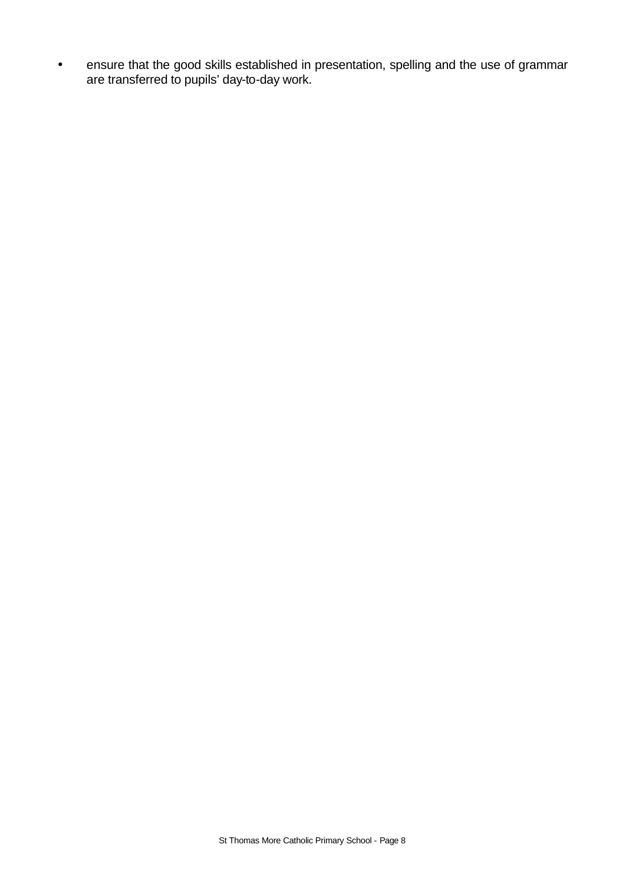• ensure that the good skills established in presentation, spelling and the use of grammar are transferred to pupils' day-to-day work.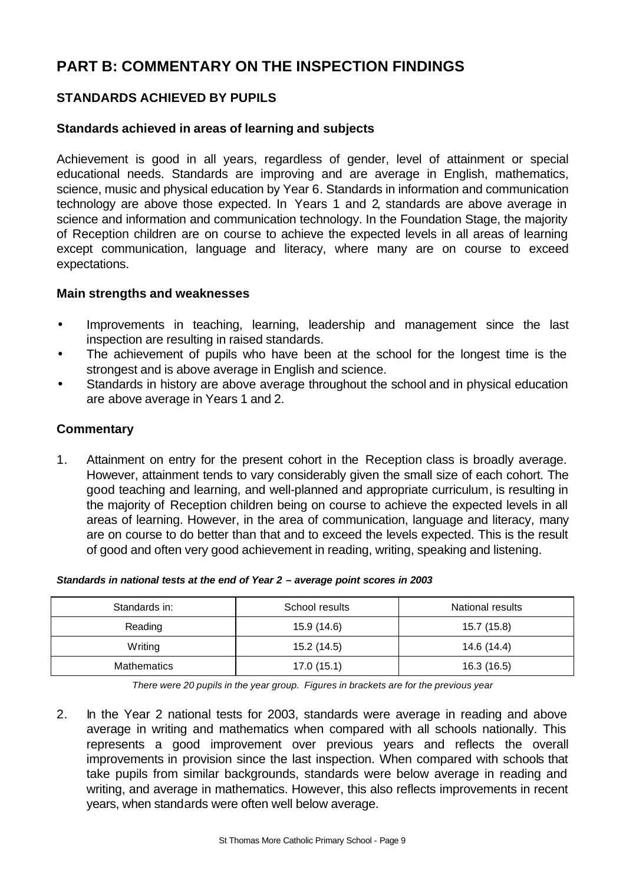# **PART B: COMMENTARY ON THE INSPECTION FINDINGS**

# **STANDARDS ACHIEVED BY PUPILS**

# **Standards achieved in areas of learning and subjects**

Achievement is good in all years, regardless of gender, level of attainment or special educational needs. Standards are improving and are average in English, mathematics, science, music and physical education by Year 6. Standards in information and communication technology are above those expected. In Years 1 and 2, standards are above average in science and information and communication technology. In the Foundation Stage, the majority of Reception children are on course to achieve the expected levels in all areas of learning except communication, language and literacy, where many are on course to exceed expectations.

### **Main strengths and weaknesses**

- Improvements in teaching, learning, leadership and management since the last inspection are resulting in raised standards.
- The achievement of pupils who have been at the school for the longest time is the strongest and is above average in English and science.
- Standards in history are above average throughout the school and in physical education are above average in Years 1 and 2.

### **Commentary**

1. Attainment on entry for the present cohort in the Reception class is broadly average. However, attainment tends to vary considerably given the small size of each cohort. The good teaching and learning, and well-planned and appropriate curriculum, is resulting in the majority of Reception children being on course to achieve the expected levels in all areas of learning. However, in the area of communication, language and literacy, many are on course to do better than that and to exceed the levels expected. This is the result of good and often very good achievement in reading, writing, speaking and listening.

| Standards in:      | School results | National results |
|--------------------|----------------|------------------|
| Reading            | 15.9 (14.6)    | 15.7 (15.8)      |
| Writing            | 15.2 (14.5)    | 14.6 (14.4)      |
| <b>Mathematics</b> | 17.0(15.1)     | 16.3 (16.5)      |

#### *Standards in national tests at the end of Year 2 – average point scores in 2003*

*There were 20 pupils in the year group. Figures in brackets are for the previous year* 

2. In the Year 2 national tests for 2003, standards were average in reading and above average in writing and mathematics when compared with all schools nationally. This represents a good improvement over previous years and reflects the overall improvements in provision since the last inspection. When compared with schools that take pupils from similar backgrounds, standards were below average in reading and writing, and average in mathematics. However, this also reflects improvements in recent years, when standards were often well below average.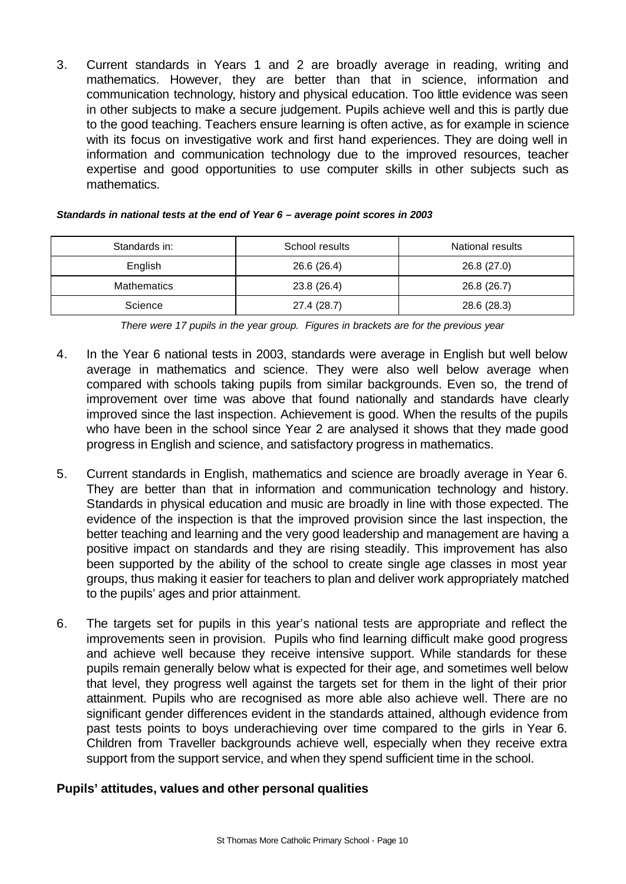3. Current standards in Years 1 and 2 are broadly average in reading, writing and mathematics. However, they are better than that in science, information and communication technology, history and physical education. Too little evidence was seen in other subjects to make a secure judgement. Pupils achieve well and this is partly due to the good teaching. Teachers ensure learning is often active, as for example in science with its focus on investigative work and first hand experiences. They are doing well in information and communication technology due to the improved resources, teacher expertise and good opportunities to use computer skills in other subjects such as mathematics.

| Standards in: | School results | National results |
|---------------|----------------|------------------|
| English       | 26.6 (26.4)    | 26.8 (27.0)      |
| Mathematics   | 23.8 (26.4)    | 26.8 (26.7)      |
| Science       | 27.4 (28.7)    | 28.6 (28.3)      |

#### *Standards in national tests at the end of Year 6 – average point scores in 2003*

*There were 17 pupils in the year group. Figures in brackets are for the previous year*

- 4. In the Year 6 national tests in 2003, standards were average in English but well below average in mathematics and science. They were also well below average when compared with schools taking pupils from similar backgrounds. Even so, the trend of improvement over time was above that found nationally and standards have clearly improved since the last inspection. Achievement is good. When the results of the pupils who have been in the school since Year 2 are analysed it shows that they made good progress in English and science, and satisfactory progress in mathematics.
- 5. Current standards in English, mathematics and science are broadly average in Year 6. They are better than that in information and communication technology and history. Standards in physical education and music are broadly in line with those expected. The evidence of the inspection is that the improved provision since the last inspection, the better teaching and learning and the very good leadership and management are having a positive impact on standards and they are rising steadily. This improvement has also been supported by the ability of the school to create single age classes in most year groups, thus making it easier for teachers to plan and deliver work appropriately matched to the pupils' ages and prior attainment.
- 6. The targets set for pupils in this year's national tests are appropriate and reflect the improvements seen in provision. Pupils who find learning difficult make good progress and achieve well because they receive intensive support. While standards for these pupils remain generally below what is expected for their age, and sometimes well below that level, they progress well against the targets set for them in the light of their prior attainment. Pupils who are recognised as more able also achieve well. There are no significant gender differences evident in the standards attained, although evidence from past tests points to boys underachieving over time compared to the girls in Year 6. Children from Traveller backgrounds achieve well, especially when they receive extra support from the support service, and when they spend sufficient time in the school.

#### **Pupils' attitudes, values and other personal qualities**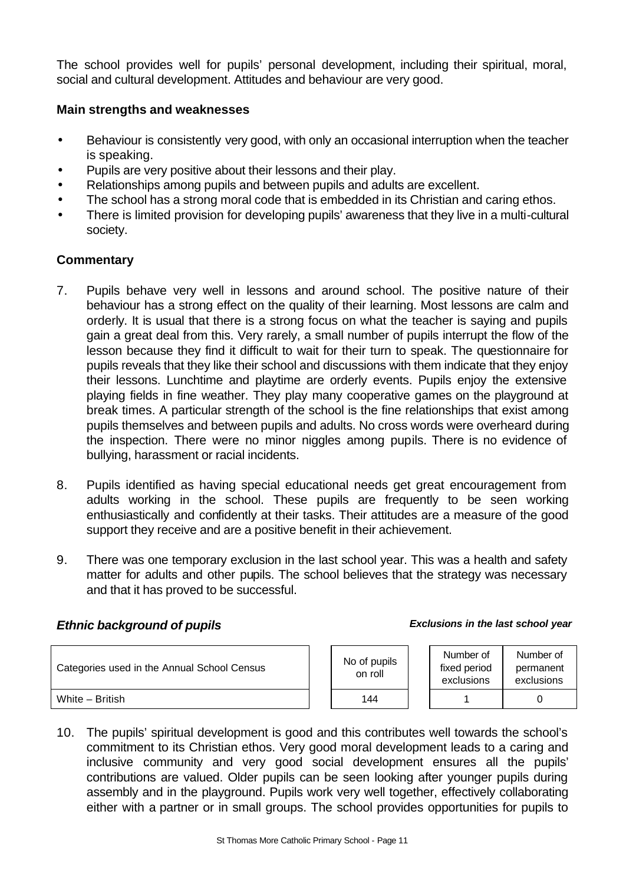The school provides well for pupils' personal development, including their spiritual, moral, social and cultural development. Attitudes and behaviour are very good.

### **Main strengths and weaknesses**

- Behaviour is consistently very good, with only an occasional interruption when the teacher is speaking.
- Pupils are very positive about their lessons and their play.
- Relationships among pupils and between pupils and adults are excellent.
- The school has a strong moral code that is embedded in its Christian and caring ethos.
- There is limited provision for developing pupils' awareness that they live in a multi-cultural society.

### **Commentary**

- 7. Pupils behave very well in lessons and around school. The positive nature of their behaviour has a strong effect on the quality of their learning. Most lessons are calm and orderly. It is usual that there is a strong focus on what the teacher is saying and pupils gain a great deal from this. Very rarely, a small number of pupils interrupt the flow of the lesson because they find it difficult to wait for their turn to speak. The questionnaire for pupils reveals that they like their school and discussions with them indicate that they enjoy their lessons. Lunchtime and playtime are orderly events. Pupils enjoy the extensive playing fields in fine weather. They play many cooperative games on the playground at break times. A particular strength of the school is the fine relationships that exist among pupils themselves and between pupils and adults. No cross words were overheard during the inspection. There were no minor niggles among pupils. There is no evidence of bullying, harassment or racial incidents.
- 8. Pupils identified as having special educational needs get great encouragement from adults working in the school. These pupils are frequently to be seen working enthusiastically and confidently at their tasks. Their attitudes are a measure of the good support they receive and are a positive benefit in their achievement.
- 9. There was one temporary exclusion in the last school year. This was a health and safety matter for adults and other pupils. The school believes that the strategy was necessary and that it has proved to be successful.

### *Ethnic background of pupils Exclusions in the last school year*

| Categories used in the Annual School Census | No of pupils<br>on roll | Number of<br>fixed period<br>exclusions | Number of<br>permanent<br>exclusions |
|---------------------------------------------|-------------------------|-----------------------------------------|--------------------------------------|
| White - British                             | 144                     |                                         |                                      |

10. The pupils' spiritual development is good and this contributes well towards the school's commitment to its Christian ethos. Very good moral development leads to a caring and inclusive community and very good social development ensures all the pupils' contributions are valued. Older pupils can be seen looking after younger pupils during assembly and in the playground. Pupils work very well together, effectively collaborating either with a partner or in small groups. The school provides opportunities for pupils to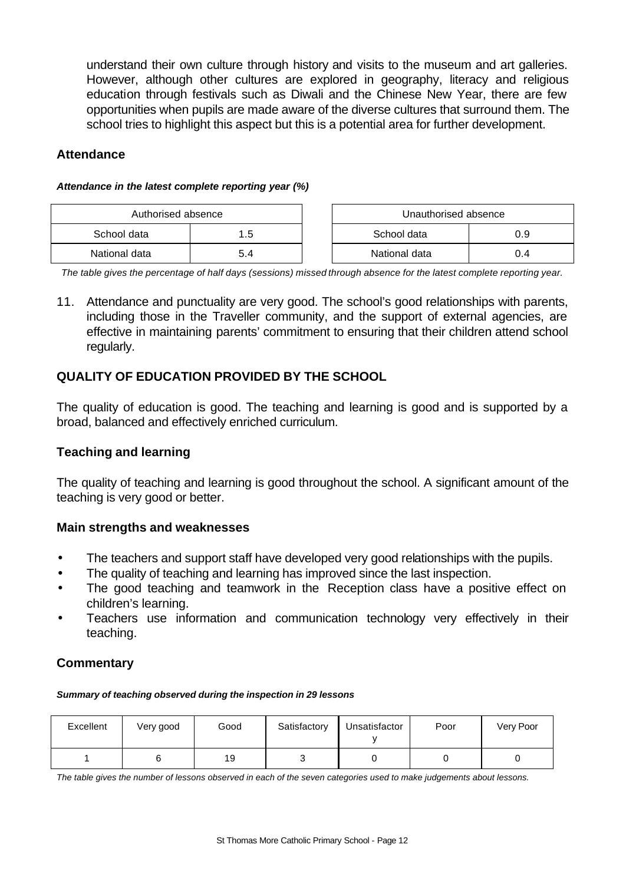understand their own culture through history and visits to the museum and art galleries. However, although other cultures are explored in geography, literacy and religious education through festivals such as Diwali and the Chinese New Year, there are few opportunities when pupils are made aware of the diverse cultures that surround them. The school tries to highlight this aspect but this is a potential area for further development.

#### **Attendance**

| Authorised absence |     | Unauthorised absence |     |
|--------------------|-----|----------------------|-----|
| School data        |     | School data          | 0.9 |
| National data      | 5.4 | National data        | 1 ∆ |

| Attendance in the latest complete reporting year (%) |  |  |  |  |  |  |
|------------------------------------------------------|--|--|--|--|--|--|
|------------------------------------------------------|--|--|--|--|--|--|

| Authorised absence |      | Unauthorised absence |     |  |
|--------------------|------|----------------------|-----|--|
| School data        | l .5 | School data          | 0.9 |  |
| National data      | 5.4  | National data        | 0.4 |  |

*The table gives the percentage of half days (sessions) missed through absence for the latest complete reporting year.*

11. Attendance and punctuality are very good. The school's good relationships with parents, including those in the Traveller community, and the support of external agencies, are effective in maintaining parents' commitment to ensuring that their children attend school regularly.

# **QUALITY OF EDUCATION PROVIDED BY THE SCHOOL**

The quality of education is good. The teaching and learning is good and is supported by a broad, balanced and effectively enriched curriculum.

### **Teaching and learning**

The quality of teaching and learning is good throughout the school. A significant amount of the teaching is very good or better.

### **Main strengths and weaknesses**

- The teachers and support staff have developed very good relationships with the pupils.
- The quality of teaching and learning has improved since the last inspection.
- The good teaching and teamwork in the Reception class have a positive effect on children's learning.
- Teachers use information and communication technology very effectively in their teaching.

### **Commentary**

#### *Summary of teaching observed during the inspection in 29 lessons*

| Excellent | Very good | Good | Satisfactory | Unsatisfactor | Poor | Very Poor |
|-----------|-----------|------|--------------|---------------|------|-----------|
|           |           | 19   |              |               |      |           |

*The table gives the number of lessons observed in each of the seven categories used to make judgements about lessons.*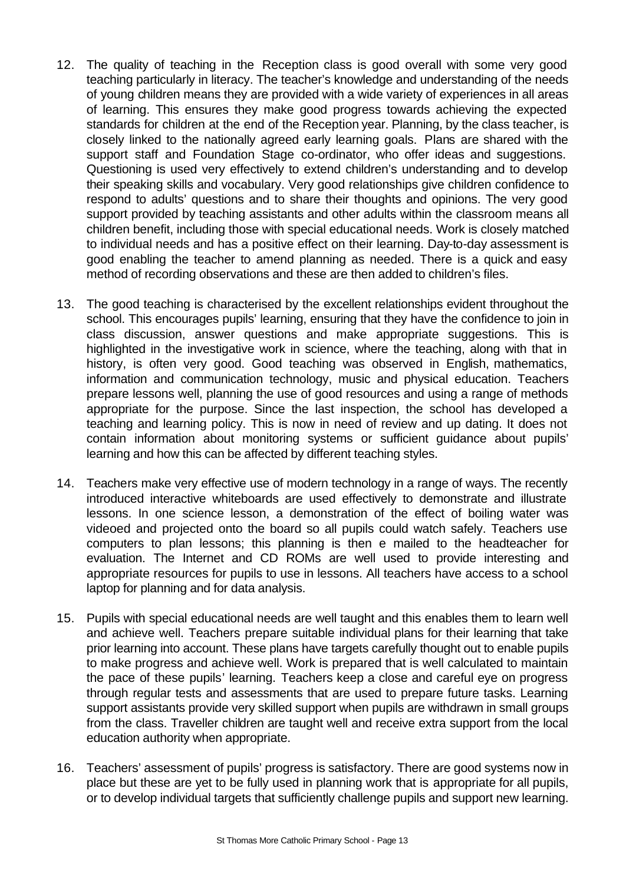- 12. The quality of teaching in the Reception class is good overall with some very good teaching particularly in literacy. The teacher's knowledge and understanding of the needs of young children means they are provided with a wide variety of experiences in all areas of learning. This ensures they make good progress towards achieving the expected standards for children at the end of the Reception year. Planning, by the class teacher, is closely linked to the nationally agreed early learning goals. Plans are shared with the support staff and Foundation Stage co-ordinator, who offer ideas and suggestions. Questioning is used very effectively to extend children's understanding and to develop their speaking skills and vocabulary. Very good relationships give children confidence to respond to adults' questions and to share their thoughts and opinions. The very good support provided by teaching assistants and other adults within the classroom means all children benefit, including those with special educational needs. Work is closely matched to individual needs and has a positive effect on their learning. Day-to-day assessment is good enabling the teacher to amend planning as needed. There is a quick and easy method of recording observations and these are then added to children's files.
- 13. The good teaching is characterised by the excellent relationships evident throughout the school. This encourages pupils' learning, ensuring that they have the confidence to join in class discussion, answer questions and make appropriate suggestions. This is highlighted in the investigative work in science, where the teaching, along with that in history, is often very good. Good teaching was observed in English, mathematics, information and communication technology, music and physical education. Teachers prepare lessons well, planning the use of good resources and using a range of methods appropriate for the purpose. Since the last inspection, the school has developed a teaching and learning policy. This is now in need of review and up dating. It does not contain information about monitoring systems or sufficient guidance about pupils' learning and how this can be affected by different teaching styles.
- 14. Teachers make very effective use of modern technology in a range of ways. The recently introduced interactive whiteboards are used effectively to demonstrate and illustrate lessons. In one science lesson, a demonstration of the effect of boiling water was videoed and projected onto the board so all pupils could watch safely. Teachers use computers to plan lessons; this planning is then e mailed to the headteacher for evaluation. The Internet and CD ROMs are well used to provide interesting and appropriate resources for pupils to use in lessons. All teachers have access to a school laptop for planning and for data analysis.
- 15. Pupils with special educational needs are well taught and this enables them to learn well and achieve well. Teachers prepare suitable individual plans for their learning that take prior learning into account. These plans have targets carefully thought out to enable pupils to make progress and achieve well. Work is prepared that is well calculated to maintain the pace of these pupils' learning. Teachers keep a close and careful eye on progress through regular tests and assessments that are used to prepare future tasks. Learning support assistants provide very skilled support when pupils are withdrawn in small groups from the class. Traveller children are taught well and receive extra support from the local education authority when appropriate.
- 16. Teachers' assessment of pupils' progress is satisfactory. There are good systems now in place but these are yet to be fully used in planning work that is appropriate for all pupils, or to develop individual targets that sufficiently challenge pupils and support new learning.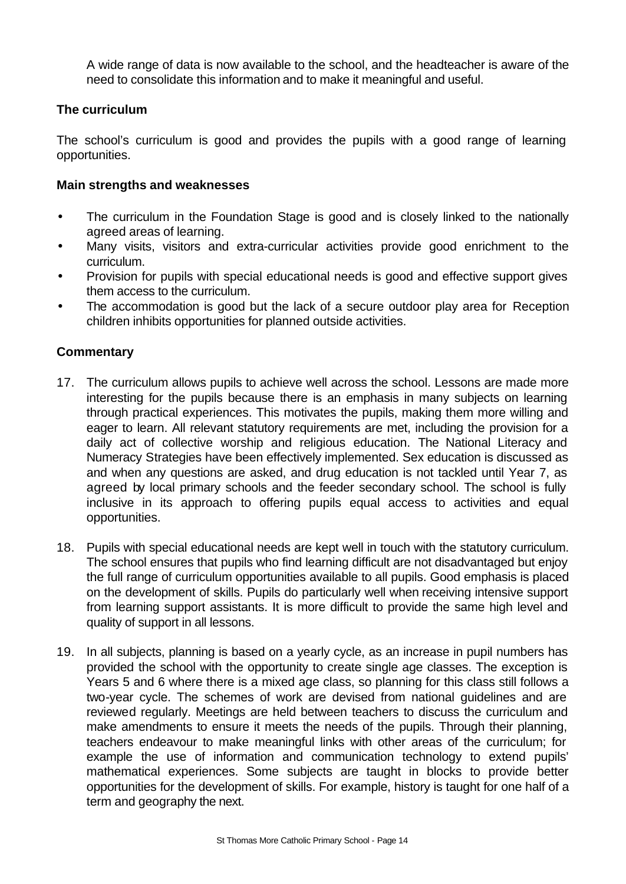A wide range of data is now available to the school, and the headteacher is aware of the need to consolidate this information and to make it meaningful and useful.

### **The curriculum**

The school's curriculum is good and provides the pupils with a good range of learning opportunities.

#### **Main strengths and weaknesses**

- The curriculum in the Foundation Stage is good and is closely linked to the nationally agreed areas of learning.
- Many visits, visitors and extra-curricular activities provide good enrichment to the curriculum.
- Provision for pupils with special educational needs is good and effective support gives them access to the curriculum.
- The accommodation is good but the lack of a secure outdoor play area for Reception children inhibits opportunities for planned outside activities.

- 17. The curriculum allows pupils to achieve well across the school. Lessons are made more interesting for the pupils because there is an emphasis in many subjects on learning through practical experiences. This motivates the pupils, making them more willing and eager to learn. All relevant statutory requirements are met, including the provision for a daily act of collective worship and religious education. The National Literacy and Numeracy Strategies have been effectively implemented. Sex education is discussed as and when any questions are asked, and drug education is not tackled until Year 7, as agreed by local primary schools and the feeder secondary school. The school is fully inclusive in its approach to offering pupils equal access to activities and equal opportunities.
- 18. Pupils with special educational needs are kept well in touch with the statutory curriculum. The school ensures that pupils who find learning difficult are not disadvantaged but enjoy the full range of curriculum opportunities available to all pupils. Good emphasis is placed on the development of skills. Pupils do particularly well when receiving intensive support from learning support assistants. It is more difficult to provide the same high level and quality of support in all lessons.
- 19. In all subjects, planning is based on a yearly cycle, as an increase in pupil numbers has provided the school with the opportunity to create single age classes. The exception is Years 5 and 6 where there is a mixed age class, so planning for this class still follows a two-year cycle. The schemes of work are devised from national guidelines and are reviewed regularly. Meetings are held between teachers to discuss the curriculum and make amendments to ensure it meets the needs of the pupils. Through their planning, teachers endeavour to make meaningful links with other areas of the curriculum; for example the use of information and communication technology to extend pupils' mathematical experiences. Some subjects are taught in blocks to provide better opportunities for the development of skills. For example, history is taught for one half of a term and geography the next.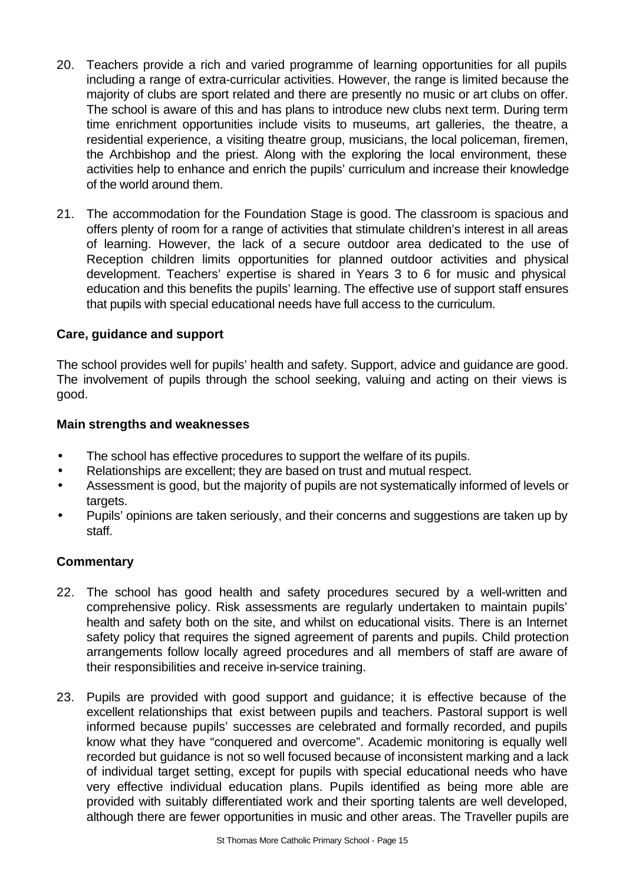- 20. Teachers provide a rich and varied programme of learning opportunities for all pupils including a range of extra-curricular activities. However, the range is limited because the majority of clubs are sport related and there are presently no music or art clubs on offer. The school is aware of this and has plans to introduce new clubs next term. During term time enrichment opportunities include visits to museums, art galleries, the theatre, a residential experience, a visiting theatre group, musicians, the local policeman, firemen, the Archbishop and the priest. Along with the exploring the local environment, these activities help to enhance and enrich the pupils' curriculum and increase their knowledge of the world around them.
- 21. The accommodation for the Foundation Stage is good. The classroom is spacious and offers plenty of room for a range of activities that stimulate children's interest in all areas of learning. However, the lack of a secure outdoor area dedicated to the use of Reception children limits opportunities for planned outdoor activities and physical development. Teachers' expertise is shared in Years 3 to 6 for music and physical education and this benefits the pupils' learning. The effective use of support staff ensures that pupils with special educational needs have full access to the curriculum.

### **Care, guidance and support**

The school provides well for pupils' health and safety. Support, advice and guidance are good. The involvement of pupils through the school seeking, valuing and acting on their views is good.

### **Main strengths and weaknesses**

- The school has effective procedures to support the welfare of its pupils.
- Relationships are excellent; they are based on trust and mutual respect.
- Assessment is good, but the majority of pupils are not systematically informed of levels or targets.
- Pupils' opinions are taken seriously, and their concerns and suggestions are taken up by staff.

- 22. The school has good health and safety procedures secured by a well-written and comprehensive policy. Risk assessments are regularly undertaken to maintain pupils' health and safety both on the site, and whilst on educational visits. There is an Internet safety policy that requires the signed agreement of parents and pupils. Child protection arrangements follow locally agreed procedures and all members of staff are aware of their responsibilities and receive in-service training.
- 23. Pupils are provided with good support and guidance; it is effective because of the excellent relationships that exist between pupils and teachers. Pastoral support is well informed because pupils' successes are celebrated and formally recorded, and pupils know what they have "conquered and overcome". Academic monitoring is equally well recorded but guidance is not so well focused because of inconsistent marking and a lack of individual target setting, except for pupils with special educational needs who have very effective individual education plans. Pupils identified as being more able are provided with suitably differentiated work and their sporting talents are well developed, although there are fewer opportunities in music and other areas. The Traveller pupils are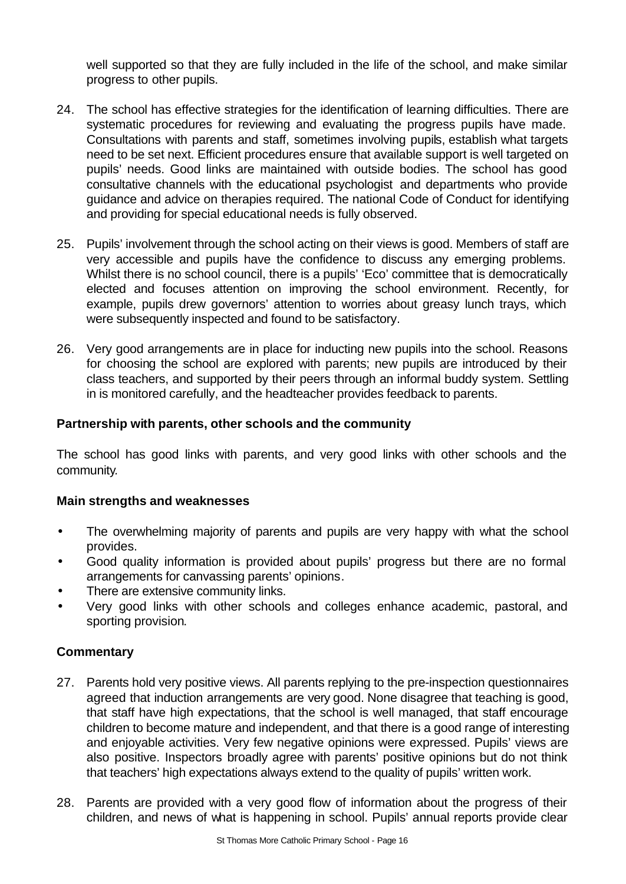well supported so that they are fully included in the life of the school, and make similar progress to other pupils.

- 24. The school has effective strategies for the identification of learning difficulties. There are systematic procedures for reviewing and evaluating the progress pupils have made. Consultations with parents and staff, sometimes involving pupils, establish what targets need to be set next. Efficient procedures ensure that available support is well targeted on pupils' needs. Good links are maintained with outside bodies. The school has good consultative channels with the educational psychologist and departments who provide guidance and advice on therapies required. The national Code of Conduct for identifying and providing for special educational needs is fully observed.
- 25. Pupils' involvement through the school acting on their views is good. Members of staff are very accessible and pupils have the confidence to discuss any emerging problems. Whilst there is no school council, there is a pupils' 'Eco' committee that is democratically elected and focuses attention on improving the school environment. Recently, for example, pupils drew governors' attention to worries about greasy lunch trays, which were subsequently inspected and found to be satisfactory.
- 26. Very good arrangements are in place for inducting new pupils into the school. Reasons for choosing the school are explored with parents; new pupils are introduced by their class teachers, and supported by their peers through an informal buddy system. Settling in is monitored carefully, and the headteacher provides feedback to parents.

### **Partnership with parents, other schools and the community**

The school has good links with parents, and very good links with other schools and the community*.*

### **Main strengths and weaknesses**

- The overwhelming majority of parents and pupils are very happy with what the school provides.
- Good quality information is provided about pupils' progress but there are no formal arrangements for canvassing parents' opinions.
- There are extensive community links.
- Very good links with other schools and colleges enhance academic, pastoral, and sporting provision.

- 27. Parents hold very positive views. All parents replying to the pre-inspection questionnaires agreed that induction arrangements are very good. None disagree that teaching is good, that staff have high expectations, that the school is well managed, that staff encourage children to become mature and independent, and that there is a good range of interesting and enjoyable activities. Very few negative opinions were expressed. Pupils' views are also positive. Inspectors broadly agree with parents' positive opinions but do not think that teachers' high expectations always extend to the quality of pupils' written work.
- 28. Parents are provided with a very good flow of information about the progress of their children, and news of what is happening in school. Pupils' annual reports provide clear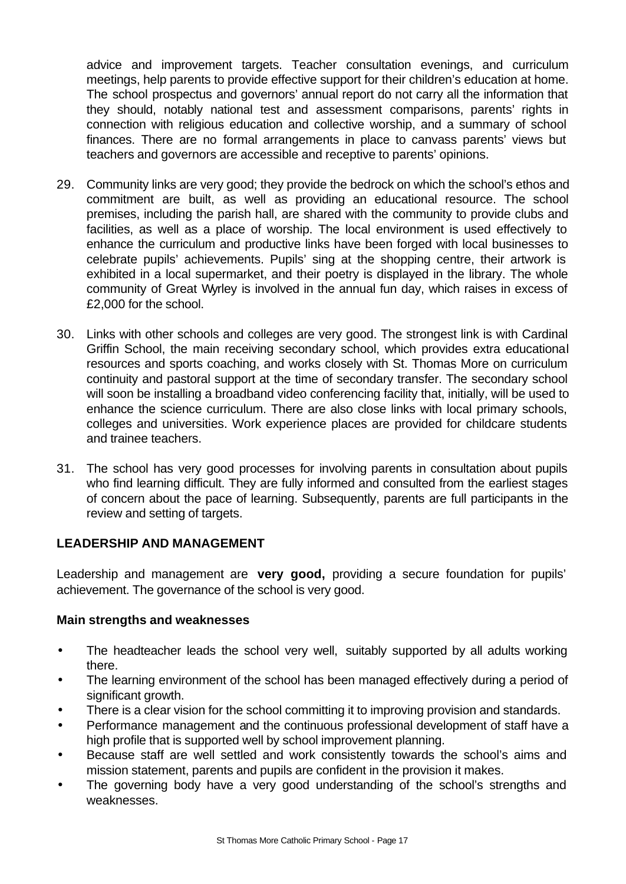advice and improvement targets. Teacher consultation evenings, and curriculum meetings, help parents to provide effective support for their children's education at home. The school prospectus and governors' annual report do not carry all the information that they should, notably national test and assessment comparisons, parents' rights in connection with religious education and collective worship, and a summary of school finances. There are no formal arrangements in place to canvass parents' views but teachers and governors are accessible and receptive to parents' opinions.

- 29. Community links are very good; they provide the bedrock on which the school's ethos and commitment are built, as well as providing an educational resource. The school premises, including the parish hall, are shared with the community to provide clubs and facilities, as well as a place of worship. The local environment is used effectively to enhance the curriculum and productive links have been forged with local businesses to celebrate pupils' achievements. Pupils' sing at the shopping centre, their artwork is exhibited in a local supermarket, and their poetry is displayed in the library. The whole community of Great Wyrley is involved in the annual fun day, which raises in excess of £2,000 for the school.
- 30. Links with other schools and colleges are very good. The strongest link is with Cardinal Griffin School, the main receiving secondary school, which provides extra educational resources and sports coaching, and works closely with St. Thomas More on curriculum continuity and pastoral support at the time of secondary transfer. The secondary school will soon be installing a broadband video conferencing facility that, initially, will be used to enhance the science curriculum. There are also close links with local primary schools, colleges and universities. Work experience places are provided for childcare students and trainee teachers.
- 31. The school has very good processes for involving parents in consultation about pupils who find learning difficult. They are fully informed and consulted from the earliest stages of concern about the pace of learning. Subsequently, parents are full participants in the review and setting of targets.

### **LEADERSHIP AND MANAGEMENT**

Leadership and management are **very good,** providing a secure foundation for pupils' achievement. The governance of the school is very good.

### **Main strengths and weaknesses**

- The headteacher leads the school very well, suitably supported by all adults working there.
- The learning environment of the school has been managed effectively during a period of significant growth.
- There is a clear vision for the school committing it to improving provision and standards.
- Performance management and the continuous professional development of staff have a high profile that is supported well by school improvement planning.
- Because staff are well settled and work consistently towards the school's aims and mission statement, parents and pupils are confident in the provision it makes.
- The governing body have a very good understanding of the school's strengths and weaknesses.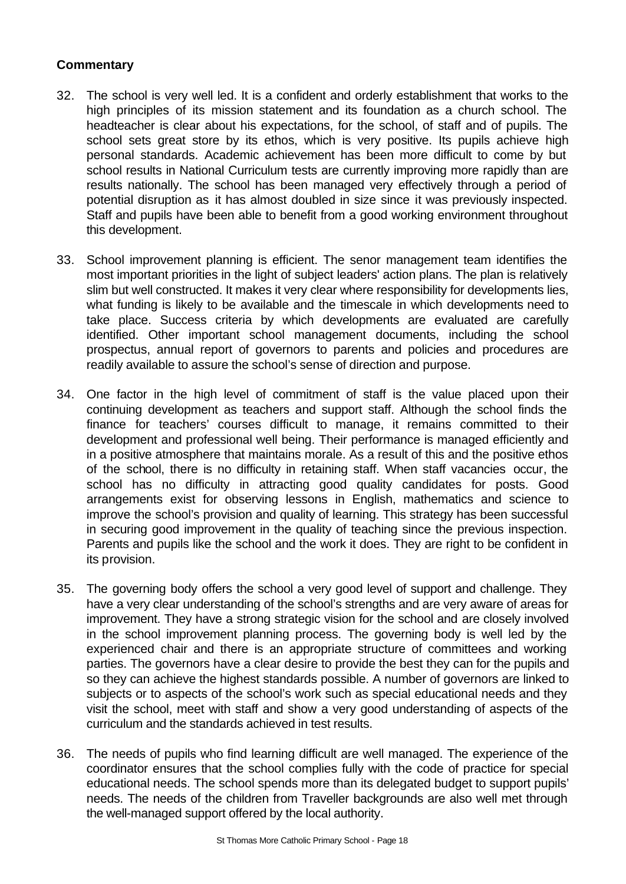- 32. The school is very well led. It is a confident and orderly establishment that works to the high principles of its mission statement and its foundation as a church school. The headteacher is clear about his expectations, for the school, of staff and of pupils. The school sets great store by its ethos, which is very positive. Its pupils achieve high personal standards. Academic achievement has been more difficult to come by but school results in National Curriculum tests are currently improving more rapidly than are results nationally. The school has been managed very effectively through a period of potential disruption as it has almost doubled in size since it was previously inspected. Staff and pupils have been able to benefit from a good working environment throughout this development.
- 33. School improvement planning is efficient. The senor management team identifies the most important priorities in the light of subject leaders' action plans. The plan is relatively slim but well constructed. It makes it very clear where responsibility for developments lies, what funding is likely to be available and the timescale in which developments need to take place. Success criteria by which developments are evaluated are carefully identified. Other important school management documents, including the school prospectus, annual report of governors to parents and policies and procedures are readily available to assure the school's sense of direction and purpose.
- 34. One factor in the high level of commitment of staff is the value placed upon their continuing development as teachers and support staff. Although the school finds the finance for teachers' courses difficult to manage, it remains committed to their development and professional well being. Their performance is managed efficiently and in a positive atmosphere that maintains morale. As a result of this and the positive ethos of the school, there is no difficulty in retaining staff. When staff vacancies occur, the school has no difficulty in attracting good quality candidates for posts. Good arrangements exist for observing lessons in English, mathematics and science to improve the school's provision and quality of learning. This strategy has been successful in securing good improvement in the quality of teaching since the previous inspection. Parents and pupils like the school and the work it does. They are right to be confident in its provision.
- 35. The governing body offers the school a very good level of support and challenge. They have a very clear understanding of the school's strengths and are very aware of areas for improvement. They have a strong strategic vision for the school and are closely involved in the school improvement planning process. The governing body is well led by the experienced chair and there is an appropriate structure of committees and working parties. The governors have a clear desire to provide the best they can for the pupils and so they can achieve the highest standards possible. A number of governors are linked to subjects or to aspects of the school's work such as special educational needs and they visit the school, meet with staff and show a very good understanding of aspects of the curriculum and the standards achieved in test results.
- 36. The needs of pupils who find learning difficult are well managed. The experience of the coordinator ensures that the school complies fully with the code of practice for special educational needs. The school spends more than its delegated budget to support pupils' needs. The needs of the children from Traveller backgrounds are also well met through the well-managed support offered by the local authority.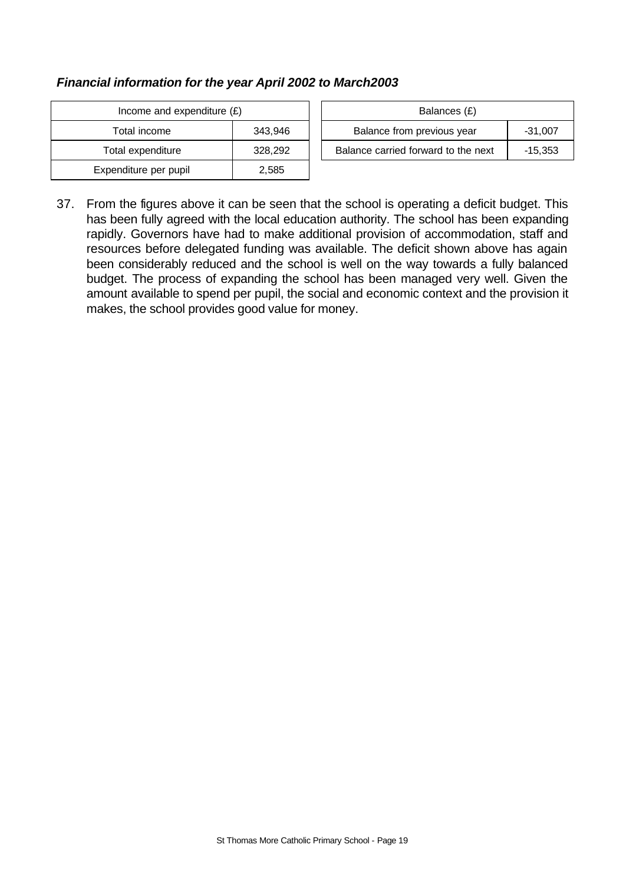# *Financial information for the year April 2002 to March2003*

| Income and expenditure $(E)$ | Balances (£) |                                |
|------------------------------|--------------|--------------------------------|
| Total income                 | 343.946      | Balance from previous year     |
| Total expenditure            | 328,292      | Balance carried forward to the |
| Expenditure per pupil        | 2,585        |                                |

| Income and expenditure $(E)$ |         | Balances (£)                        |           |
|------------------------------|---------|-------------------------------------|-----------|
| Total income                 | 343.946 | Balance from previous year          | $-31.007$ |
| Total expenditure            | 328.292 | Balance carried forward to the next | $-15.353$ |

37. From the figures above it can be seen that the school is operating a deficit budget. This has been fully agreed with the local education authority. The school has been expanding rapidly. Governors have had to make additional provision of accommodation, staff and resources before delegated funding was available. The deficit shown above has again been considerably reduced and the school is well on the way towards a fully balanced budget. The process of expanding the school has been managed very well. Given the amount available to spend per pupil, the social and economic context and the provision it makes, the school provides good value for money.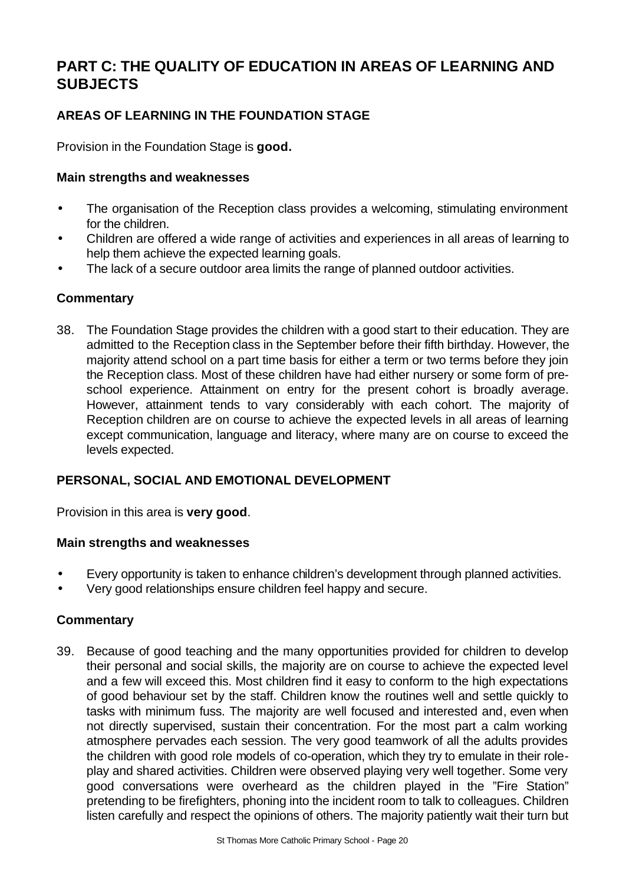# **PART C: THE QUALITY OF EDUCATION IN AREAS OF LEARNING AND SUBJECTS**

# **AREAS OF LEARNING IN THE FOUNDATION STAGE**

Provision in the Foundation Stage is **good.**

### **Main strengths and weaknesses**

- The organisation of the Reception class provides a welcoming, stimulating environment for the children.
- Children are offered a wide range of activities and experiences in all areas of learning to help them achieve the expected learning goals.
- The lack of a secure outdoor area limits the range of planned outdoor activities.

# **Commentary**

38. The Foundation Stage provides the children with a good start to their education. They are admitted to the Reception class in the September before their fifth birthday. However, the majority attend school on a part time basis for either a term or two terms before they join the Reception class. Most of these children have had either nursery or some form of preschool experience. Attainment on entry for the present cohort is broadly average. However, attainment tends to vary considerably with each cohort. The majority of Reception children are on course to achieve the expected levels in all areas of learning except communication, language and literacy, where many are on course to exceed the levels expected.

### **PERSONAL, SOCIAL AND EMOTIONAL DEVELOPMENT**

Provision in this area is **very good**.

### **Main strengths and weaknesses**

- Every opportunity is taken to enhance children's development through planned activities.
- Very good relationships ensure children feel happy and secure.

### **Commentary**

39. Because of good teaching and the many opportunities provided for children to develop their personal and social skills, the majority are on course to achieve the expected level and a few will exceed this. Most children find it easy to conform to the high expectations of good behaviour set by the staff. Children know the routines well and settle quickly to tasks with minimum fuss. The majority are well focused and interested and, even when not directly supervised, sustain their concentration. For the most part a calm working atmosphere pervades each session. The very good teamwork of all the adults provides the children with good role models of co-operation, which they try to emulate in their roleplay and shared activities. Children were observed playing very well together. Some very good conversations were overheard as the children played in the "Fire Station" pretending to be firefighters, phoning into the incident room to talk to colleagues. Children listen carefully and respect the opinions of others. The majority patiently wait their turn but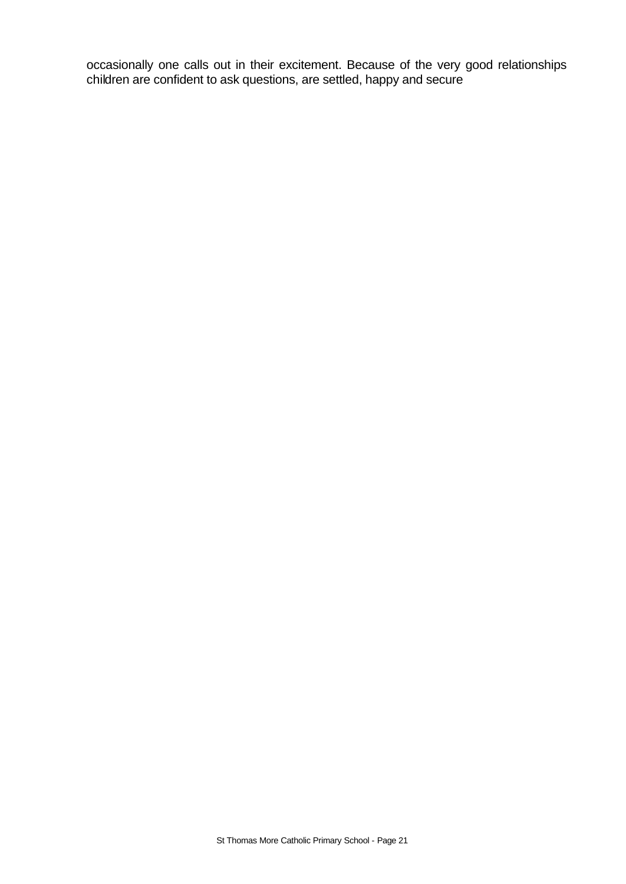occasionally one calls out in their excitement. Because of the very good relationships children are confident to ask questions, are settled, happy and secure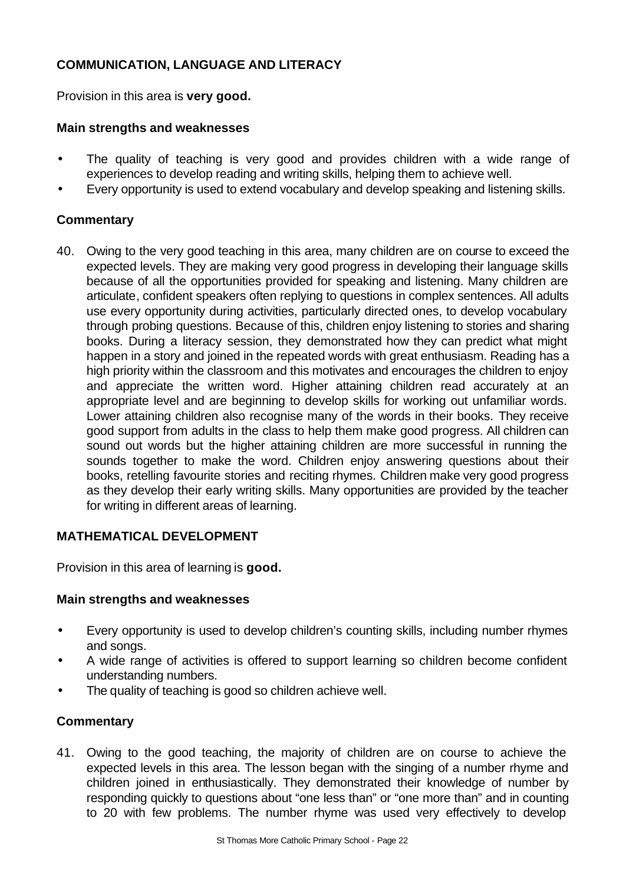# **COMMUNICATION, LANGUAGE AND LITERACY**

Provision in this area is **very good.**

# **Main strengths and weaknesses**

- The quality of teaching is very good and provides children with a wide range of experiences to develop reading and writing skills, helping them to achieve well.
- Every opportunity is used to extend vocabulary and develop speaking and listening skills.

# **Commentary**

40. Owing to the very good teaching in this area, many children are on course to exceed the expected levels. They are making very good progress in developing their language skills because of all the opportunities provided for speaking and listening. Many children are articulate, confident speakers often replying to questions in complex sentences. All adults use every opportunity during activities, particularly directed ones, to develop vocabulary through probing questions. Because of this, children enjoy listening to stories and sharing books. During a literacy session, they demonstrated how they can predict what might happen in a story and joined in the repeated words with great enthusiasm. Reading has a high priority within the classroom and this motivates and encourages the children to enjoy and appreciate the written word. Higher attaining children read accurately at an appropriate level and are beginning to develop skills for working out unfamiliar words. Lower attaining children also recognise many of the words in their books. They receive good support from adults in the class to help them make good progress. All children can sound out words but the higher attaining children are more successful in running the sounds together to make the word. Children enjoy answering questions about their books, retelling favourite stories and reciting rhymes. Children make very good progress as they develop their early writing skills. Many opportunities are provided by the teacher for writing in different areas of learning.

### **MATHEMATICAL DEVELOPMENT**

Provision in this area of learning is **good.**

### **Main strengths and weaknesses**

- Every opportunity is used to develop children's counting skills, including number rhymes and songs.
- A wide range of activities is offered to support learning so children become confident understanding numbers.
- The quality of teaching is good so children achieve well.

# **Commentary**

41. Owing to the good teaching, the majority of children are on course to achieve the expected levels in this area. The lesson began with the singing of a number rhyme and children joined in enthusiastically. They demonstrated their knowledge of number by responding quickly to questions about "one less than" or "one more than" and in counting to 20 with few problems. The number rhyme was used very effectively to develop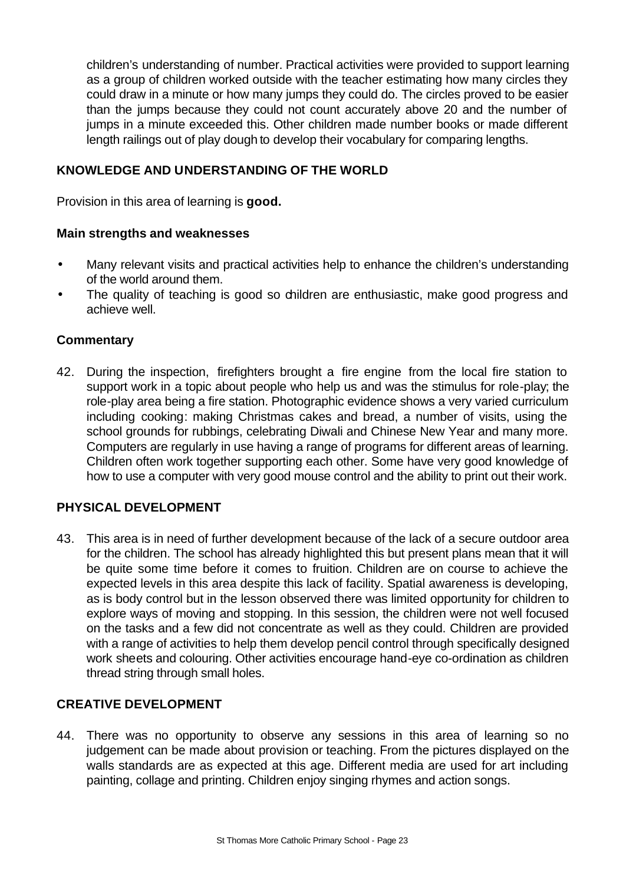children's understanding of number. Practical activities were provided to support learning as a group of children worked outside with the teacher estimating how many circles they could draw in a minute or how many jumps they could do. The circles proved to be easier than the jumps because they could not count accurately above 20 and the number of jumps in a minute exceeded this. Other children made number books or made different length railings out of play dough to develop their vocabulary for comparing lengths.

# **KNOWLEDGE AND UNDERSTANDING OF THE WORLD**

Provision in this area of learning is **good.**

### **Main strengths and weaknesses**

- Many relevant visits and practical activities help to enhance the children's understanding of the world around them.
- The quality of teaching is good so children are enthusiastic, make good progress and achieve well.

### **Commentary**

42. During the inspection, firefighters brought a fire engine from the local fire station to support work in a topic about people who help us and was the stimulus for role-play; the role-play area being a fire station. Photographic evidence shows a very varied curriculum including cooking: making Christmas cakes and bread, a number of visits, using the school grounds for rubbings, celebrating Diwali and Chinese New Year and many more. Computers are regularly in use having a range of programs for different areas of learning. Children often work together supporting each other. Some have very good knowledge of how to use a computer with very good mouse control and the ability to print out their work.

### **PHYSICAL DEVELOPMENT**

43. This area is in need of further development because of the lack of a secure outdoor area for the children. The school has already highlighted this but present plans mean that it will be quite some time before it comes to fruition. Children are on course to achieve the expected levels in this area despite this lack of facility. Spatial awareness is developing, as is body control but in the lesson observed there was limited opportunity for children to explore ways of moving and stopping. In this session, the children were not well focused on the tasks and a few did not concentrate as well as they could. Children are provided with a range of activities to help them develop pencil control through specifically designed work sheets and colouring. Other activities encourage hand-eye co-ordination as children thread string through small holes.

### **CREATIVE DEVELOPMENT**

44. There was no opportunity to observe any sessions in this area of learning so no judgement can be made about provision or teaching. From the pictures displayed on the walls standards are as expected at this age. Different media are used for art including painting, collage and printing. Children enjoy singing rhymes and action songs.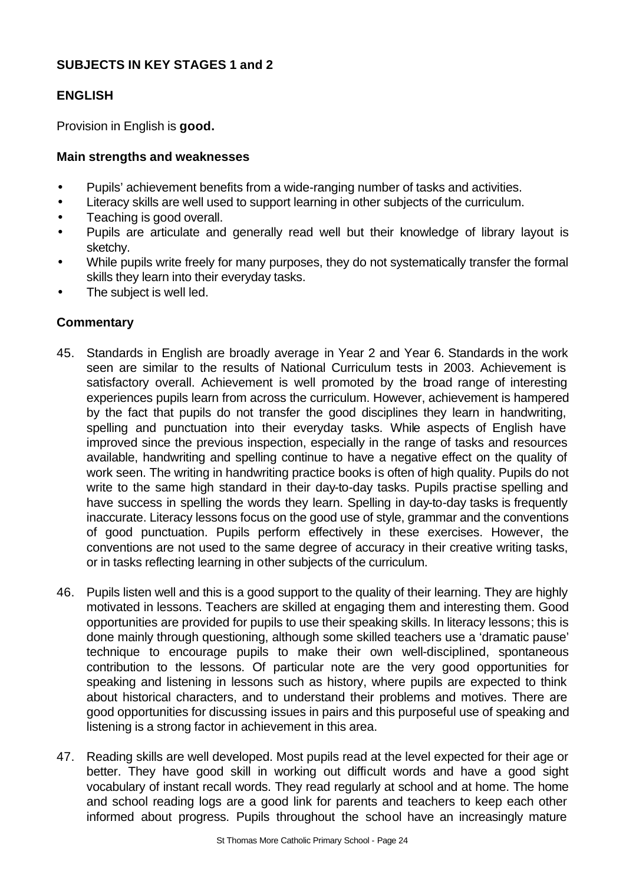### **SUBJECTS IN KEY STAGES 1 and 2**

#### **ENGLISH**

Provision in English is **good.**

#### **Main strengths and weaknesses**

- Pupils' achievement benefits from a wide-ranging number of tasks and activities.
- Literacy skills are well used to support learning in other subjects of the curriculum.
- Teaching is good overall.
- Pupils are articulate and generally read well but their knowledge of library layout is sketchy.
- While pupils write freely for many purposes, they do not systematically transfer the formal skills they learn into their everyday tasks.
- The subject is well led.

- 45. Standards in English are broadly average in Year 2 and Year 6. Standards in the work seen are similar to the results of National Curriculum tests in 2003. Achievement is satisfactory overall. Achievement is well promoted by the broad range of interesting experiences pupils learn from across the curriculum. However, achievement is hampered by the fact that pupils do not transfer the good disciplines they learn in handwriting, spelling and punctuation into their everyday tasks. While aspects of English have improved since the previous inspection, especially in the range of tasks and resources available, handwriting and spelling continue to have a negative effect on the quality of work seen. The writing in handwriting practice books is often of high quality. Pupils do not write to the same high standard in their day-to-day tasks. Pupils practise spelling and have success in spelling the words they learn. Spelling in day-to-day tasks is frequently inaccurate. Literacy lessons focus on the good use of style, grammar and the conventions of good punctuation. Pupils perform effectively in these exercises. However, the conventions are not used to the same degree of accuracy in their creative writing tasks, or in tasks reflecting learning in other subjects of the curriculum.
- 46. Pupils listen well and this is a good support to the quality of their learning. They are highly motivated in lessons. Teachers are skilled at engaging them and interesting them. Good opportunities are provided for pupils to use their speaking skills. In literacy lessons; this is done mainly through questioning, although some skilled teachers use a 'dramatic pause' technique to encourage pupils to make their own well-disciplined, spontaneous contribution to the lessons. Of particular note are the very good opportunities for speaking and listening in lessons such as history, where pupils are expected to think about historical characters, and to understand their problems and motives. There are good opportunities for discussing issues in pairs and this purposeful use of speaking and listening is a strong factor in achievement in this area.
- 47. Reading skills are well developed. Most pupils read at the level expected for their age or better. They have good skill in working out difficult words and have a good sight vocabulary of instant recall words. They read regularly at school and at home. The home and school reading logs are a good link for parents and teachers to keep each other informed about progress. Pupils throughout the school have an increasingly mature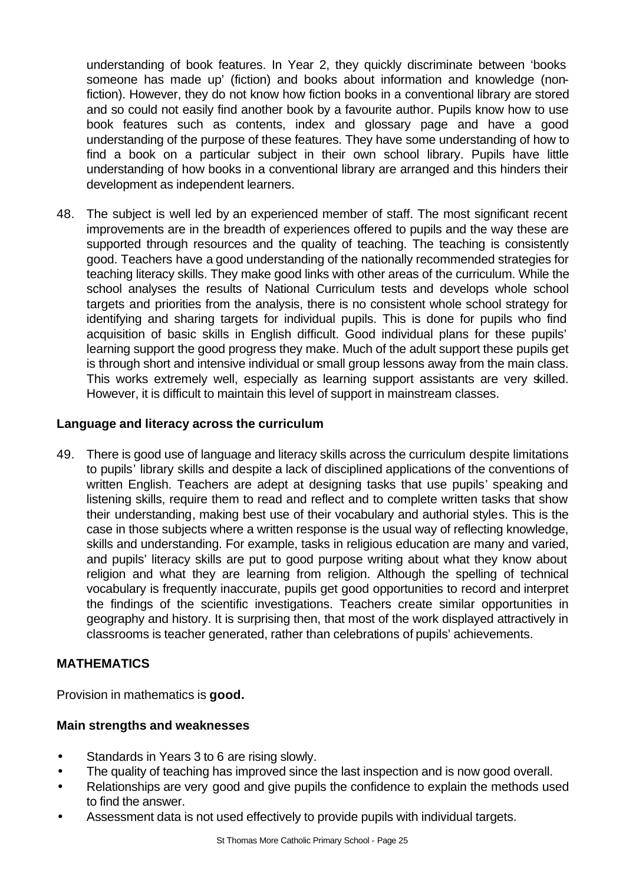understanding of book features. In Year 2, they quickly discriminate between 'books someone has made up' (fiction) and books about information and knowledge (nonfiction). However, they do not know how fiction books in a conventional library are stored and so could not easily find another book by a favourite author. Pupils know how to use book features such as contents, index and glossary page and have a good understanding of the purpose of these features. They have some understanding of how to find a book on a particular subject in their own school library. Pupils have little understanding of how books in a conventional library are arranged and this hinders their development as independent learners.

48. The subject is well led by an experienced member of staff. The most significant recent improvements are in the breadth of experiences offered to pupils and the way these are supported through resources and the quality of teaching. The teaching is consistently good. Teachers have a good understanding of the nationally recommended strategies for teaching literacy skills. They make good links with other areas of the curriculum. While the school analyses the results of National Curriculum tests and develops whole school targets and priorities from the analysis, there is no consistent whole school strategy for identifying and sharing targets for individual pupils. This is done for pupils who find acquisition of basic skills in English difficult. Good individual plans for these pupils' learning support the good progress they make. Much of the adult support these pupils get is through short and intensive individual or small group lessons away from the main class. This works extremely well, especially as learning support assistants are very skilled. However, it is difficult to maintain this level of support in mainstream classes.

# **Language and literacy across the curriculum**

49. There is good use of language and literacy skills across the curriculum despite limitations to pupils' library skills and despite a lack of disciplined applications of the conventions of written English. Teachers are adept at designing tasks that use pupils' speaking and listening skills, require them to read and reflect and to complete written tasks that show their understanding, making best use of their vocabulary and authorial styles. This is the case in those subjects where a written response is the usual way of reflecting knowledge, skills and understanding. For example, tasks in religious education are many and varied, and pupils' literacy skills are put to good purpose writing about what they know about religion and what they are learning from religion. Although the spelling of technical vocabulary is frequently inaccurate, pupils get good opportunities to record and interpret the findings of the scientific investigations. Teachers create similar opportunities in geography and history. It is surprising then, that most of the work displayed attractively in classrooms is teacher generated, rather than celebrations of pupils' achievements.

# **MATHEMATICS**

Provision in mathematics is **good.**

### **Main strengths and weaknesses**

- Standards in Years 3 to 6 are rising slowly.
- The quality of teaching has improved since the last inspection and is now good overall.
- Relationships are very good and give pupils the confidence to explain the methods used to find the answer.
- Assessment data is not used effectively to provide pupils with individual targets.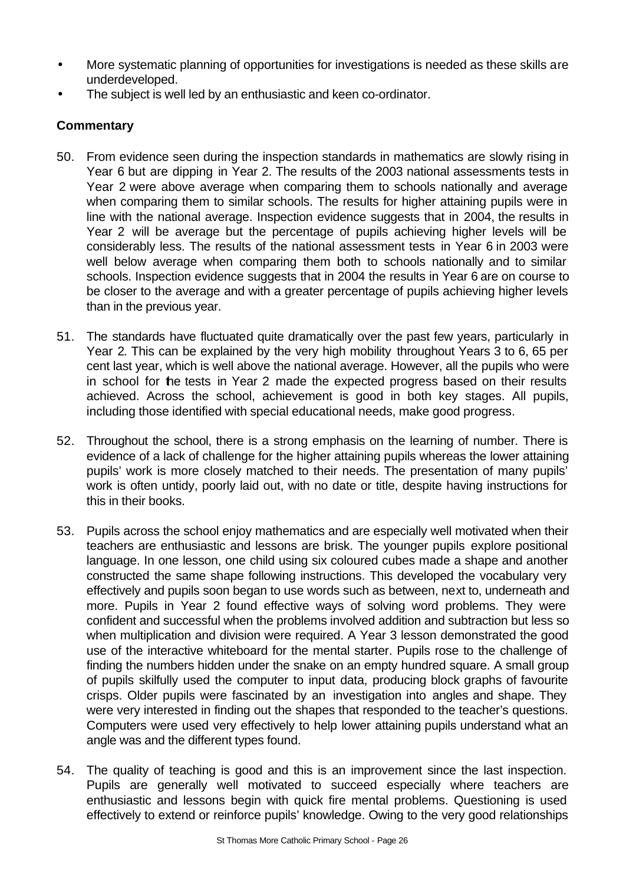- More systematic planning of opportunities for investigations is needed as these skills are underdeveloped.
- The subject is well led by an enthusiastic and keen co-ordinator.

- 50. From evidence seen during the inspection standards in mathematics are slowly rising in Year 6 but are dipping in Year 2. The results of the 2003 national assessments tests in Year 2 were above average when comparing them to schools nationally and average when comparing them to similar schools. The results for higher attaining pupils were in line with the national average. Inspection evidence suggests that in 2004, the results in Year 2 will be average but the percentage of pupils achieving higher levels will be considerably less. The results of the national assessment tests in Year 6 in 2003 were well below average when comparing them both to schools nationally and to similar schools. Inspection evidence suggests that in 2004 the results in Year 6 are on course to be closer to the average and with a greater percentage of pupils achieving higher levels than in the previous year.
- 51. The standards have fluctuated quite dramatically over the past few years, particularly in Year 2. This can be explained by the very high mobility throughout Years 3 to 6, 65 per cent last year, which is well above the national average. However, all the pupils who were in school for the tests in Year 2 made the expected progress based on their results achieved. Across the school, achievement is good in both key stages. All pupils, including those identified with special educational needs, make good progress.
- 52. Throughout the school, there is a strong emphasis on the learning of number. There is evidence of a lack of challenge for the higher attaining pupils whereas the lower attaining pupils' work is more closely matched to their needs. The presentation of many pupils' work is often untidy, poorly laid out, with no date or title, despite having instructions for this in their books.
- 53. Pupils across the school enjoy mathematics and are especially well motivated when their teachers are enthusiastic and lessons are brisk. The younger pupils explore positional language. In one lesson, one child using six coloured cubes made a shape and another constructed the same shape following instructions. This developed the vocabulary very effectively and pupils soon began to use words such as between, next to, underneath and more. Pupils in Year 2 found effective ways of solving word problems. They were confident and successful when the problems involved addition and subtraction but less so when multiplication and division were required. A Year 3 lesson demonstrated the good use of the interactive whiteboard for the mental starter. Pupils rose to the challenge of finding the numbers hidden under the snake on an empty hundred square. A small group of pupils skilfully used the computer to input data, producing block graphs of favourite crisps. Older pupils were fascinated by an investigation into angles and shape. They were very interested in finding out the shapes that responded to the teacher's questions. Computers were used very effectively to help lower attaining pupils understand what an angle was and the different types found.
- 54. The quality of teaching is good and this is an improvement since the last inspection. Pupils are generally well motivated to succeed especially where teachers are enthusiastic and lessons begin with quick fire mental problems. Questioning is used effectively to extend or reinforce pupils' knowledge. Owing to the very good relationships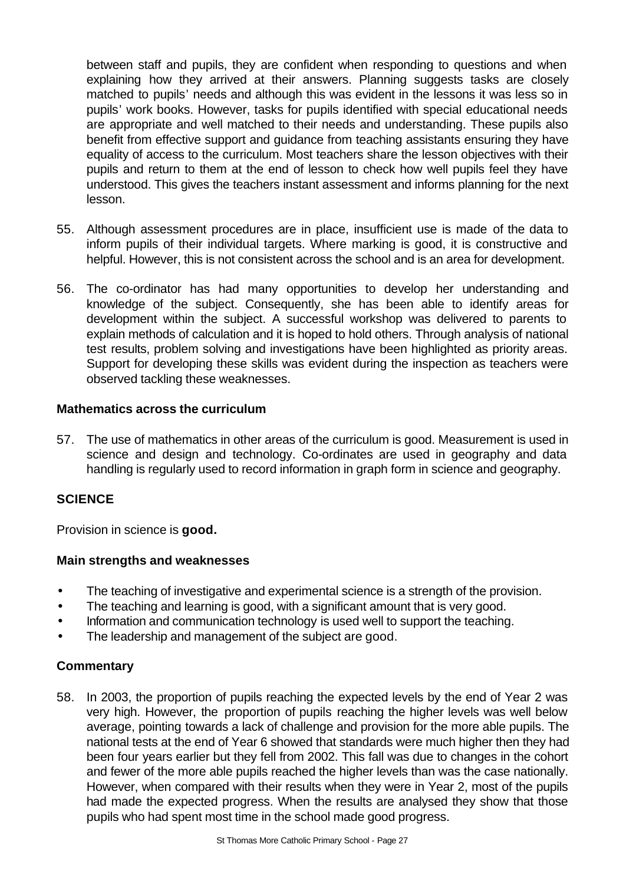between staff and pupils, they are confident when responding to questions and when explaining how they arrived at their answers. Planning suggests tasks are closely matched to pupils' needs and although this was evident in the lessons it was less so in pupils' work books. However, tasks for pupils identified with special educational needs are appropriate and well matched to their needs and understanding. These pupils also benefit from effective support and guidance from teaching assistants ensuring they have equality of access to the curriculum. Most teachers share the lesson objectives with their pupils and return to them at the end of lesson to check how well pupils feel they have understood. This gives the teachers instant assessment and informs planning for the next lesson.

- 55. Although assessment procedures are in place, insufficient use is made of the data to inform pupils of their individual targets. Where marking is good, it is constructive and helpful. However, this is not consistent across the school and is an area for development.
- 56. The co-ordinator has had many opportunities to develop her understanding and knowledge of the subject. Consequently, she has been able to identify areas for development within the subject. A successful workshop was delivered to parents to explain methods of calculation and it is hoped to hold others. Through analysis of national test results, problem solving and investigations have been highlighted as priority areas. Support for developing these skills was evident during the inspection as teachers were observed tackling these weaknesses.

### **Mathematics across the curriculum**

57. The use of mathematics in other areas of the curriculum is good. Measurement is used in science and design and technology. Co-ordinates are used in geography and data handling is regularly used to record information in graph form in science and geography.

### **SCIENCE**

Provision in science is **good.**

### **Main strengths and weaknesses**

- The teaching of investigative and experimental science is a strength of the provision.
- The teaching and learning is good, with a significant amount that is very good.
- Information and communication technology is used well to support the teaching.
- The leadership and management of the subject are good.

#### **Commentary**

58. In 2003, the proportion of pupils reaching the expected levels by the end of Year 2 was very high. However, the proportion of pupils reaching the higher levels was well below average, pointing towards a lack of challenge and provision for the more able pupils. The national tests at the end of Year 6 showed that standards were much higher then they had been four years earlier but they fell from 2002. This fall was due to changes in the cohort and fewer of the more able pupils reached the higher levels than was the case nationally. However, when compared with their results when they were in Year 2, most of the pupils had made the expected progress. When the results are analysed they show that those pupils who had spent most time in the school made good progress.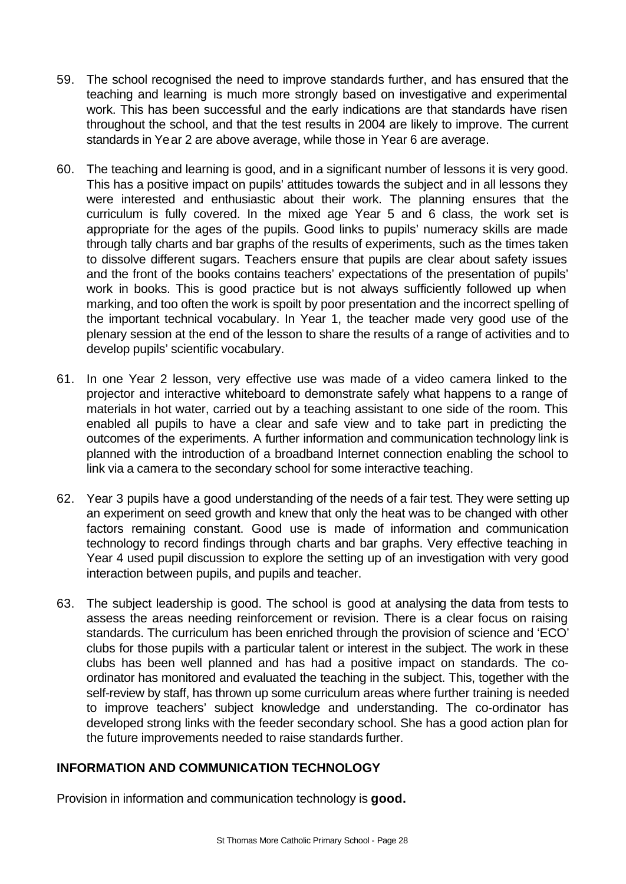- 59. The school recognised the need to improve standards further, and has ensured that the teaching and learning is much more strongly based on investigative and experimental work. This has been successful and the early indications are that standards have risen throughout the school, and that the test results in 2004 are likely to improve. The current standards in Year 2 are above average, while those in Year 6 are average.
- 60. The teaching and learning is good, and in a significant number of lessons it is very good. This has a positive impact on pupils' attitudes towards the subject and in all lessons they were interested and enthusiastic about their work. The planning ensures that the curriculum is fully covered. In the mixed age Year 5 and 6 class, the work set is appropriate for the ages of the pupils. Good links to pupils' numeracy skills are made through tally charts and bar graphs of the results of experiments, such as the times taken to dissolve different sugars. Teachers ensure that pupils are clear about safety issues and the front of the books contains teachers' expectations of the presentation of pupils' work in books. This is good practice but is not always sufficiently followed up when marking, and too often the work is spoilt by poor presentation and the incorrect spelling of the important technical vocabulary. In Year 1, the teacher made very good use of the plenary session at the end of the lesson to share the results of a range of activities and to develop pupils' scientific vocabulary.
- 61. In one Year 2 lesson, very effective use was made of a video camera linked to the projector and interactive whiteboard to demonstrate safely what happens to a range of materials in hot water, carried out by a teaching assistant to one side of the room. This enabled all pupils to have a clear and safe view and to take part in predicting the outcomes of the experiments. A further information and communication technology link is planned with the introduction of a broadband Internet connection enabling the school to link via a camera to the secondary school for some interactive teaching.
- 62. Year 3 pupils have a good understanding of the needs of a fair test. They were setting up an experiment on seed growth and knew that only the heat was to be changed with other factors remaining constant. Good use is made of information and communication technology to record findings through charts and bar graphs. Very effective teaching in Year 4 used pupil discussion to explore the setting up of an investigation with very good interaction between pupils, and pupils and teacher.
- 63. The subject leadership is good. The school is good at analysing the data from tests to assess the areas needing reinforcement or revision. There is a clear focus on raising standards. The curriculum has been enriched through the provision of science and 'ECO' clubs for those pupils with a particular talent or interest in the subject. The work in these clubs has been well planned and has had a positive impact on standards. The coordinator has monitored and evaluated the teaching in the subject. This, together with the self-review by staff, has thrown up some curriculum areas where further training is needed to improve teachers' subject knowledge and understanding. The co-ordinator has developed strong links with the feeder secondary school. She has a good action plan for the future improvements needed to raise standards further.

# **INFORMATION AND COMMUNICATION TECHNOLOGY**

Provision in information and communication technology is **good.**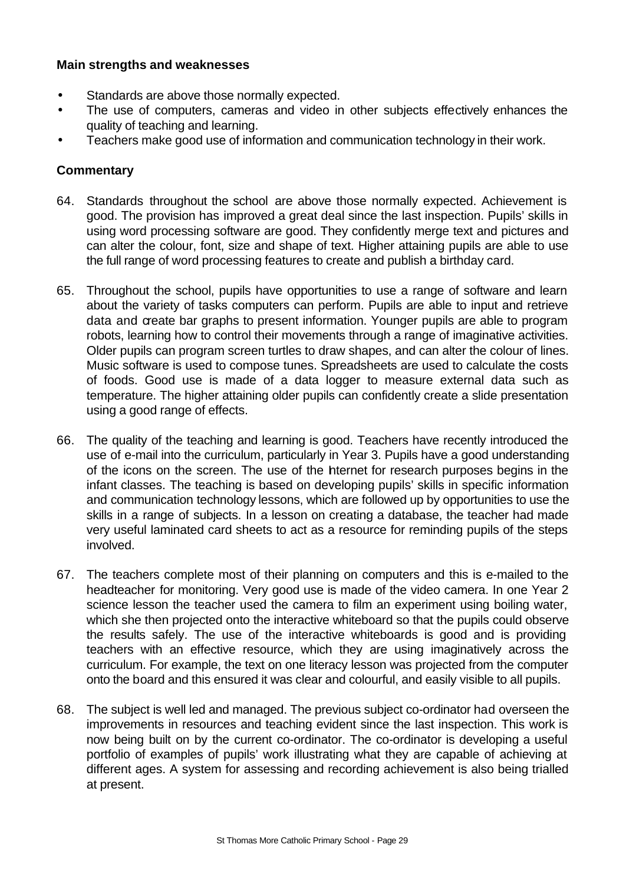#### **Main strengths and weaknesses**

- Standards are above those normally expected.
- The use of computers, cameras and video in other subjects effectively enhances the quality of teaching and learning.
- Teachers make good use of information and communication technology in their work.

- 64. Standards throughout the school are above those normally expected. Achievement is good. The provision has improved a great deal since the last inspection. Pupils' skills in using word processing software are good. They confidently merge text and pictures and can alter the colour, font, size and shape of text. Higher attaining pupils are able to use the full range of word processing features to create and publish a birthday card.
- 65. Throughout the school, pupils have opportunities to use a range of software and learn about the variety of tasks computers can perform. Pupils are able to input and retrieve data and create bar graphs to present information. Younger pupils are able to program robots, learning how to control their movements through a range of imaginative activities. Older pupils can program screen turtles to draw shapes, and can alter the colour of lines. Music software is used to compose tunes. Spreadsheets are used to calculate the costs of foods. Good use is made of a data logger to measure external data such as temperature. The higher attaining older pupils can confidently create a slide presentation using a good range of effects.
- 66. The quality of the teaching and learning is good. Teachers have recently introduced the use of e-mail into the curriculum, particularly in Year 3. Pupils have a good understanding of the icons on the screen. The use of the hternet for research purposes begins in the infant classes. The teaching is based on developing pupils' skills in specific information and communication technology lessons, which are followed up by opportunities to use the skills in a range of subjects. In a lesson on creating a database, the teacher had made very useful laminated card sheets to act as a resource for reminding pupils of the steps involved.
- 67. The teachers complete most of their planning on computers and this is e-mailed to the headteacher for monitoring. Very good use is made of the video camera. In one Year 2 science lesson the teacher used the camera to film an experiment using boiling water, which she then projected onto the interactive whiteboard so that the pupils could observe the results safely. The use of the interactive whiteboards is good and is providing teachers with an effective resource, which they are using imaginatively across the curriculum. For example, the text on one literacy lesson was projected from the computer onto the board and this ensured it was clear and colourful, and easily visible to all pupils.
- 68. The subject is well led and managed. The previous subject co-ordinator had overseen the improvements in resources and teaching evident since the last inspection. This work is now being built on by the current co-ordinator. The co-ordinator is developing a useful portfolio of examples of pupils' work illustrating what they are capable of achieving at different ages. A system for assessing and recording achievement is also being trialled at present.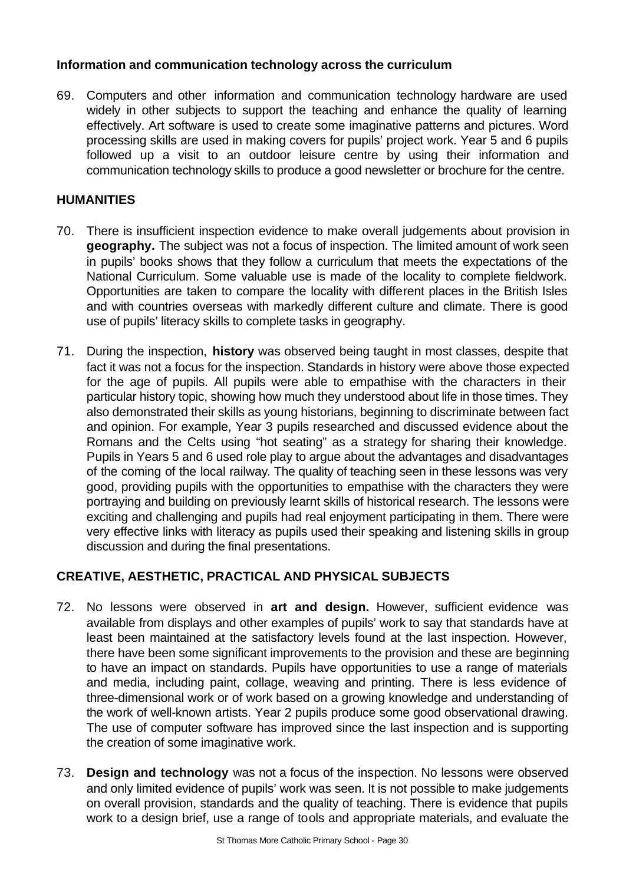# **Information and communication technology across the curriculum**

69. Computers and other information and communication technology hardware are used widely in other subjects to support the teaching and enhance the quality of learning effectively. Art software is used to create some imaginative patterns and pictures. Word processing skills are used in making covers for pupils' project work. Year 5 and 6 pupils followed up a visit to an outdoor leisure centre by using their information and communication technology skills to produce a good newsletter or brochure for the centre.

# **HUMANITIES**

- 70. There is insufficient inspection evidence to make overall judgements about provision in **geography.** The subject was not a focus of inspection. The limited amount of work seen in pupils' books shows that they follow a curriculum that meets the expectations of the National Curriculum. Some valuable use is made of the locality to complete fieldwork. Opportunities are taken to compare the locality with different places in the British Isles and with countries overseas with markedly different culture and climate. There is good use of pupils' literacy skills to complete tasks in geography.
- 71. During the inspection, **history** was observed being taught in most classes, despite that fact it was not a focus for the inspection. Standards in history were above those expected for the age of pupils. All pupils were able to empathise with the characters in their particular history topic, showing how much they understood about life in those times. They also demonstrated their skills as young historians, beginning to discriminate between fact and opinion. For example, Year 3 pupils researched and discussed evidence about the Romans and the Celts using "hot seating" as a strategy for sharing their knowledge. Pupils in Years 5 and 6 used role play to argue about the advantages and disadvantages of the coming of the local railway. The quality of teaching seen in these lessons was very good, providing pupils with the opportunities to empathise with the characters they were portraying and building on previously learnt skills of historical research. The lessons were exciting and challenging and pupils had real enjoyment participating in them. There were very effective links with literacy as pupils used their speaking and listening skills in group discussion and during the final presentations.

# **CREATIVE, AESTHETIC, PRACTICAL AND PHYSICAL SUBJECTS**

- 72. No lessons were observed in **art and design.** However, sufficient evidence was available from displays and other examples of pupils' work to say that standards have at least been maintained at the satisfactory levels found at the last inspection. However, there have been some significant improvements to the provision and these are beginning to have an impact on standards. Pupils have opportunities to use a range of materials and media, including paint, collage, weaving and printing. There is less evidence of three-dimensional work or of work based on a growing knowledge and understanding of the work of well-known artists. Year 2 pupils produce some good observational drawing. The use of computer software has improved since the last inspection and is supporting the creation of some imaginative work.
- 73. **Design and technology** was not a focus of the inspection. No lessons were observed and only limited evidence of pupils' work was seen. It is not possible to make judgements on overall provision, standards and the quality of teaching. There is evidence that pupils work to a design brief, use a range of tools and appropriate materials, and evaluate the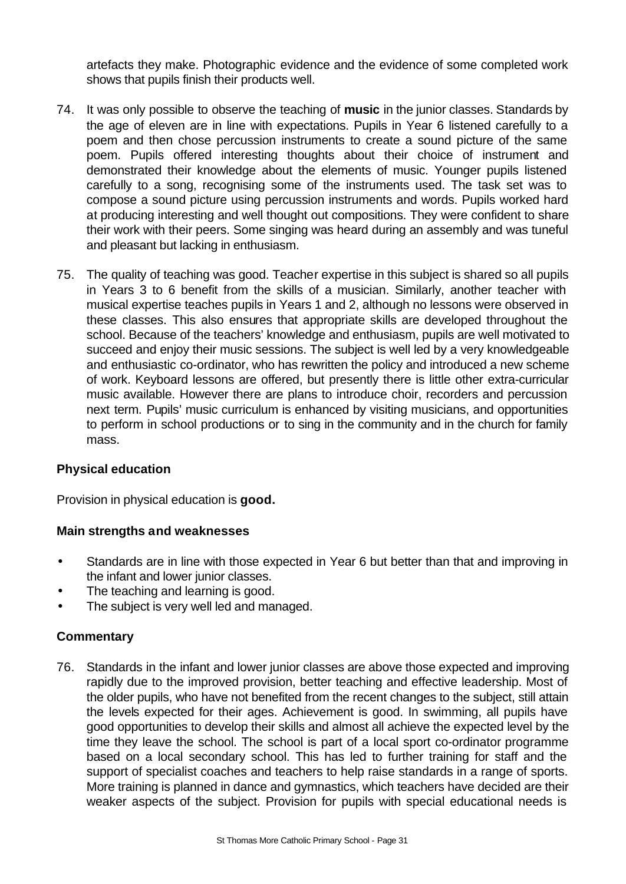artefacts they make. Photographic evidence and the evidence of some completed work shows that pupils finish their products well.

- 74. It was only possible to observe the teaching of **music** in the junior classes. Standards by the age of eleven are in line with expectations. Pupils in Year 6 listened carefully to a poem and then chose percussion instruments to create a sound picture of the same poem. Pupils offered interesting thoughts about their choice of instrument and demonstrated their knowledge about the elements of music. Younger pupils listened carefully to a song, recognising some of the instruments used. The task set was to compose a sound picture using percussion instruments and words. Pupils worked hard at producing interesting and well thought out compositions. They were confident to share their work with their peers. Some singing was heard during an assembly and was tuneful and pleasant but lacking in enthusiasm.
- 75. The quality of teaching was good. Teacher expertise in this subject is shared so all pupils in Years 3 to 6 benefit from the skills of a musician. Similarly, another teacher with musical expertise teaches pupils in Years 1 and 2, although no lessons were observed in these classes. This also ensures that appropriate skills are developed throughout the school. Because of the teachers' knowledge and enthusiasm, pupils are well motivated to succeed and enjoy their music sessions. The subject is well led by a very knowledgeable and enthusiastic co-ordinator, who has rewritten the policy and introduced a new scheme of work. Keyboard lessons are offered, but presently there is little other extra-curricular music available. However there are plans to introduce choir, recorders and percussion next term. Pupils' music curriculum is enhanced by visiting musicians, and opportunities to perform in school productions or to sing in the community and in the church for family mass.

### **Physical education**

Provision in physical education is **good.**

### **Main strengths and weaknesses**

- Standards are in line with those expected in Year 6 but better than that and improving in the infant and lower junior classes.
- The teaching and learning is good.
- The subject is very well led and managed.

### **Commentary**

76. Standards in the infant and lower junior classes are above those expected and improving rapidly due to the improved provision, better teaching and effective leadership. Most of the older pupils, who have not benefited from the recent changes to the subject, still attain the levels expected for their ages. Achievement is good. In swimming, all pupils have good opportunities to develop their skills and almost all achieve the expected level by the time they leave the school. The school is part of a local sport co-ordinator programme based on a local secondary school. This has led to further training for staff and the support of specialist coaches and teachers to help raise standards in a range of sports. More training is planned in dance and gymnastics, which teachers have decided are their weaker aspects of the subject. Provision for pupils with special educational needs is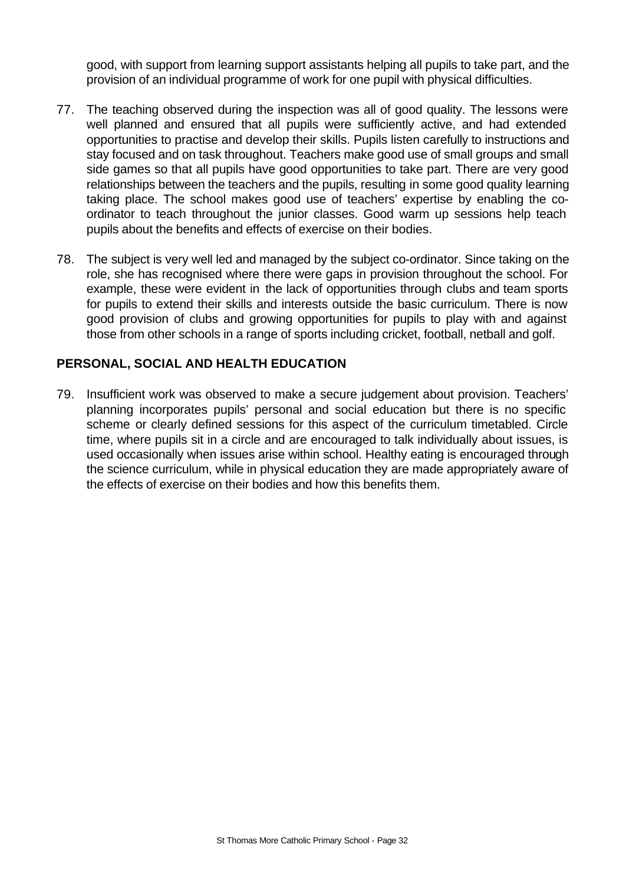good, with support from learning support assistants helping all pupils to take part, and the provision of an individual programme of work for one pupil with physical difficulties.

- 77. The teaching observed during the inspection was all of good quality. The lessons were well planned and ensured that all pupils were sufficiently active, and had extended opportunities to practise and develop their skills. Pupils listen carefully to instructions and stay focused and on task throughout. Teachers make good use of small groups and small side games so that all pupils have good opportunities to take part. There are very good relationships between the teachers and the pupils, resulting in some good quality learning taking place. The school makes good use of teachers' expertise by enabling the coordinator to teach throughout the junior classes. Good warm up sessions help teach pupils about the benefits and effects of exercise on their bodies.
- 78. The subject is very well led and managed by the subject co-ordinator. Since taking on the role, she has recognised where there were gaps in provision throughout the school. For example, these were evident in the lack of opportunities through clubs and team sports for pupils to extend their skills and interests outside the basic curriculum. There is now good provision of clubs and growing opportunities for pupils to play with and against those from other schools in a range of sports including cricket, football, netball and golf.

# **PERSONAL, SOCIAL AND HEALTH EDUCATION**

79. Insufficient work was observed to make a secure judgement about provision. Teachers' planning incorporates pupils' personal and social education but there is no specific scheme or clearly defined sessions for this aspect of the curriculum timetabled. Circle time, where pupils sit in a circle and are encouraged to talk individually about issues, is used occasionally when issues arise within school. Healthy eating is encouraged through the science curriculum, while in physical education they are made appropriately aware of the effects of exercise on their bodies and how this benefits them.